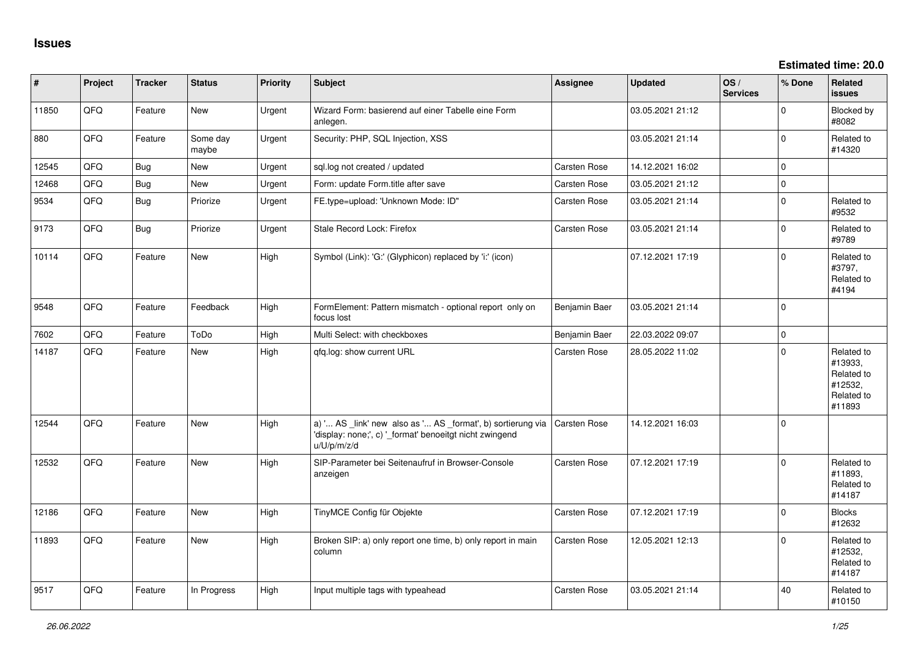| $\vert$ # | Project | <b>Tracker</b> | <b>Status</b>     | <b>Priority</b> | <b>Subject</b>                                                                                                                        | <b>Assignee</b>     | <b>Updated</b>   | OS/<br><b>Services</b> | % Done              | Related<br><b>issues</b>                                               |
|-----------|---------|----------------|-------------------|-----------------|---------------------------------------------------------------------------------------------------------------------------------------|---------------------|------------------|------------------------|---------------------|------------------------------------------------------------------------|
| 11850     | QFQ     | Feature        | <b>New</b>        | Urgent          | Wizard Form: basierend auf einer Tabelle eine Form<br>anlegen.                                                                        |                     | 03.05.2021 21:12 |                        | $\Omega$            | Blocked by<br>#8082                                                    |
| 880       | QFQ     | Feature        | Some day<br>maybe | Urgent          | Security: PHP, SQL Injection, XSS                                                                                                     |                     | 03.05.2021 21:14 |                        | $\Omega$            | Related to<br>#14320                                                   |
| 12545     | QFQ     | <b>Bug</b>     | <b>New</b>        | Urgent          | sql.log not created / updated                                                                                                         | Carsten Rose        | 14.12.2021 16:02 |                        | $\Omega$            |                                                                        |
| 12468     | QFQ     | <b>Bug</b>     | <b>New</b>        | Urgent          | Form: update Form.title after save                                                                                                    | Carsten Rose        | 03.05.2021 21:12 |                        | $\mathsf{O}\xspace$ |                                                                        |
| 9534      | QFQ     | <b>Bug</b>     | Priorize          | Urgent          | FE.type=upload: 'Unknown Mode: ID"                                                                                                    | Carsten Rose        | 03.05.2021 21:14 |                        | $\mathbf 0$         | Related to<br>#9532                                                    |
| 9173      | QFQ     | <b>Bug</b>     | Priorize          | Urgent          | Stale Record Lock: Firefox                                                                                                            | Carsten Rose        | 03.05.2021 21:14 |                        | $\Omega$            | Related to<br>#9789                                                    |
| 10114     | QFQ     | Feature        | New               | High            | Symbol (Link): 'G:' (Glyphicon) replaced by 'i:' (icon)                                                                               |                     | 07.12.2021 17:19 |                        | $\mathbf 0$         | Related to<br>#3797,<br>Related to<br>#4194                            |
| 9548      | QFQ     | Feature        | Feedback          | High            | FormElement: Pattern mismatch - optional report only on<br>focus lost                                                                 | Benjamin Baer       | 03.05.2021 21:14 |                        | $\mathbf 0$         |                                                                        |
| 7602      | QFQ     | Feature        | ToDo              | High            | Multi Select: with checkboxes                                                                                                         | Benjamin Baer       | 22.03.2022 09:07 |                        | $\mathbf 0$         |                                                                        |
| 14187     | QFQ     | Feature        | New               | High            | gfg.log: show current URL                                                                                                             | Carsten Rose        | 28.05.2022 11:02 |                        | $\Omega$            | Related to<br>#13933,<br>Related to<br>#12532,<br>Related to<br>#11893 |
| 12544     | QFQ     | Feature        | <b>New</b>        | High            | a) ' AS _link' new also as ' AS _format', b) sortierung via<br>'display: none;', c) '_format' benoeitgt nicht zwingend<br>u/U/p/m/z/d | Carsten Rose        | 14.12.2021 16:03 |                        | $\Omega$            |                                                                        |
| 12532     | QFQ     | Feature        | <b>New</b>        | High            | SIP-Parameter bei Seitenaufruf in Browser-Console<br>anzeigen                                                                         | Carsten Rose        | 07.12.2021 17:19 |                        | $\Omega$            | Related to<br>#11893,<br>Related to<br>#14187                          |
| 12186     | QFQ     | Feature        | <b>New</b>        | High            | TinyMCE Config für Objekte                                                                                                            | Carsten Rose        | 07.12.2021 17:19 |                        | $\mathbf 0$         | <b>Blocks</b><br>#12632                                                |
| 11893     | QFQ     | Feature        | <b>New</b>        | High            | Broken SIP: a) only report one time, b) only report in main<br>column                                                                 | <b>Carsten Rose</b> | 12.05.2021 12:13 |                        | $\Omega$            | Related to<br>#12532,<br>Related to<br>#14187                          |
| 9517      | QFQ     | Feature        | In Progress       | High            | Input multiple tags with typeahead                                                                                                    | Carsten Rose        | 03.05.2021 21:14 |                        | 40                  | Related to<br>#10150                                                   |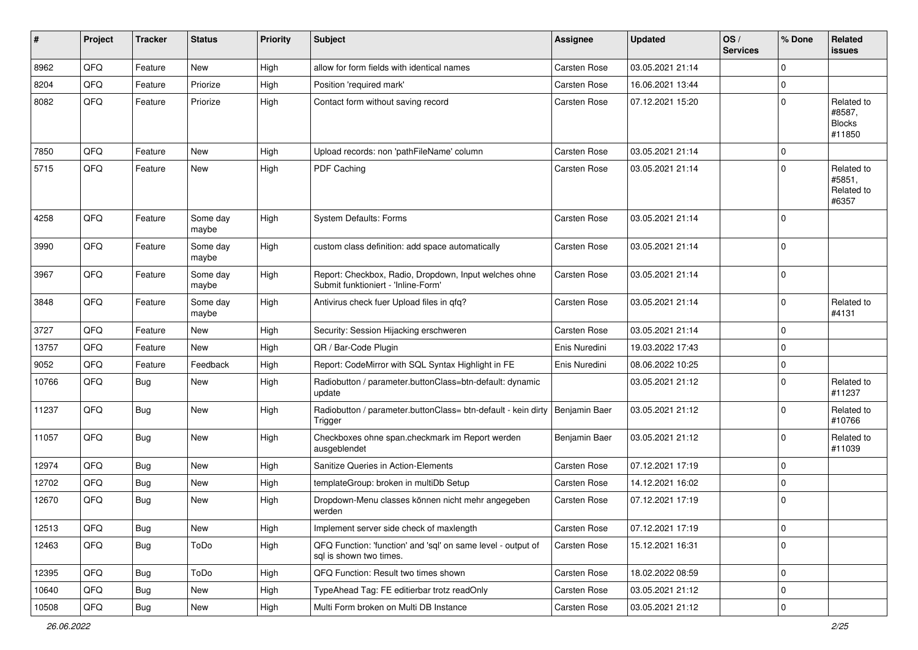| #     | Project | <b>Tracker</b> | <b>Status</b>     | <b>Priority</b> | <b>Subject</b>                                                                               | <b>Assignee</b>     | <b>Updated</b>   | OS/<br><b>Services</b> | % Done      | Related<br><b>issues</b>                        |
|-------|---------|----------------|-------------------|-----------------|----------------------------------------------------------------------------------------------|---------------------|------------------|------------------------|-------------|-------------------------------------------------|
| 8962  | QFQ     | Feature        | New               | High            | allow for form fields with identical names                                                   | <b>Carsten Rose</b> | 03.05.2021 21:14 |                        | $\mathbf 0$ |                                                 |
| 8204  | QFQ     | Feature        | Priorize          | High            | Position 'required mark'                                                                     | Carsten Rose        | 16.06.2021 13:44 |                        | $\mathbf 0$ |                                                 |
| 8082  | QFQ     | Feature        | Priorize          | High            | Contact form without saving record                                                           | <b>Carsten Rose</b> | 07.12.2021 15:20 |                        | $\mathbf 0$ | Related to<br>#8587,<br><b>Blocks</b><br>#11850 |
| 7850  | QFQ     | Feature        | <b>New</b>        | High            | Upload records: non 'pathFileName' column                                                    | Carsten Rose        | 03.05.2021 21:14 |                        | $\mathbf 0$ |                                                 |
| 5715  | QFQ     | Feature        | <b>New</b>        | High            | PDF Caching                                                                                  | Carsten Rose        | 03.05.2021 21:14 |                        | $\mathbf 0$ | Related to<br>#5851,<br>Related to<br>#6357     |
| 4258  | QFQ     | Feature        | Some day<br>maybe | High            | <b>System Defaults: Forms</b>                                                                | <b>Carsten Rose</b> | 03.05.2021 21:14 |                        | $\mathbf 0$ |                                                 |
| 3990  | QFQ     | Feature        | Some day<br>maybe | High            | custom class definition: add space automatically                                             | <b>Carsten Rose</b> | 03.05.2021 21:14 |                        | $\mathbf 0$ |                                                 |
| 3967  | QFQ     | Feature        | Some day<br>maybe | High            | Report: Checkbox, Radio, Dropdown, Input welches ohne<br>Submit funktioniert - 'Inline-Form' | <b>Carsten Rose</b> | 03.05.2021 21:14 |                        | $\mathbf 0$ |                                                 |
| 3848  | QFQ     | Feature        | Some day<br>maybe | High            | Antivirus check fuer Upload files in qfq?                                                    | <b>Carsten Rose</b> | 03.05.2021 21:14 |                        | $\mathbf 0$ | Related to<br>#4131                             |
| 3727  | QFQ     | Feature        | <b>New</b>        | High            | Security: Session Hijacking erschweren                                                       | <b>Carsten Rose</b> | 03.05.2021 21:14 |                        | $\mathbf 0$ |                                                 |
| 13757 | QFQ     | Feature        | New               | High            | QR / Bar-Code Plugin                                                                         | Enis Nuredini       | 19.03.2022 17:43 |                        | $\mathbf 0$ |                                                 |
| 9052  | QFQ     | Feature        | Feedback          | High            | Report: CodeMirror with SQL Syntax Highlight in FE                                           | Enis Nuredini       | 08.06.2022 10:25 |                        | $\mathbf 0$ |                                                 |
| 10766 | QFQ     | Bug            | <b>New</b>        | High            | Radiobutton / parameter.buttonClass=btn-default: dynamic<br>update                           |                     | 03.05.2021 21:12 |                        | $\mathbf 0$ | Related to<br>#11237                            |
| 11237 | QFQ     | Bug            | New               | High            | Radiobutton / parameter.buttonClass= btn-default - kein dirty<br>Trigger                     | Benjamin Baer       | 03.05.2021 21:12 |                        | $\mathbf 0$ | Related to<br>#10766                            |
| 11057 | QFQ     | Bug            | New               | High            | Checkboxes ohne span.checkmark im Report werden<br>ausgeblendet                              | Benjamin Baer       | 03.05.2021 21:12 |                        | $\mathbf 0$ | Related to<br>#11039                            |
| 12974 | QFQ     | Bug            | New               | High            | Sanitize Queries in Action-Elements                                                          | <b>Carsten Rose</b> | 07.12.2021 17:19 |                        | $\mathbf 0$ |                                                 |
| 12702 | QFQ     | <b>Bug</b>     | <b>New</b>        | High            | templateGroup: broken in multiDb Setup                                                       | Carsten Rose        | 14.12.2021 16:02 |                        | $\mathbf 0$ |                                                 |
| 12670 | QFQ     | <b>Bug</b>     | New               | High            | Dropdown-Menu classes können nicht mehr angegeben<br>werden                                  | Carsten Rose        | 07.12.2021 17:19 |                        | $\mathbf 0$ |                                                 |
| 12513 | QFQ     | <b>Bug</b>     | New               | High            | Implement server side check of maxlength                                                     | Carsten Rose        | 07.12.2021 17:19 |                        | $\pmb{0}$   |                                                 |
| 12463 | QFQ     | Bug            | ToDo              | High            | QFQ Function: 'function' and 'sql' on same level - output of<br>sql is shown two times.      | Carsten Rose        | 15.12.2021 16:31 |                        | 0           |                                                 |
| 12395 | QFQ     | Bug            | ToDo              | High            | QFQ Function: Result two times shown                                                         | Carsten Rose        | 18.02.2022 08:59 |                        | $\mathbf 0$ |                                                 |
| 10640 | QFQ     | <b>Bug</b>     | New               | High            | TypeAhead Tag: FE editierbar trotz readOnly                                                  | Carsten Rose        | 03.05.2021 21:12 |                        | 0           |                                                 |
| 10508 | QFQ     | Bug            | New               | High            | Multi Form broken on Multi DB Instance                                                       | Carsten Rose        | 03.05.2021 21:12 |                        | $\mathbf 0$ |                                                 |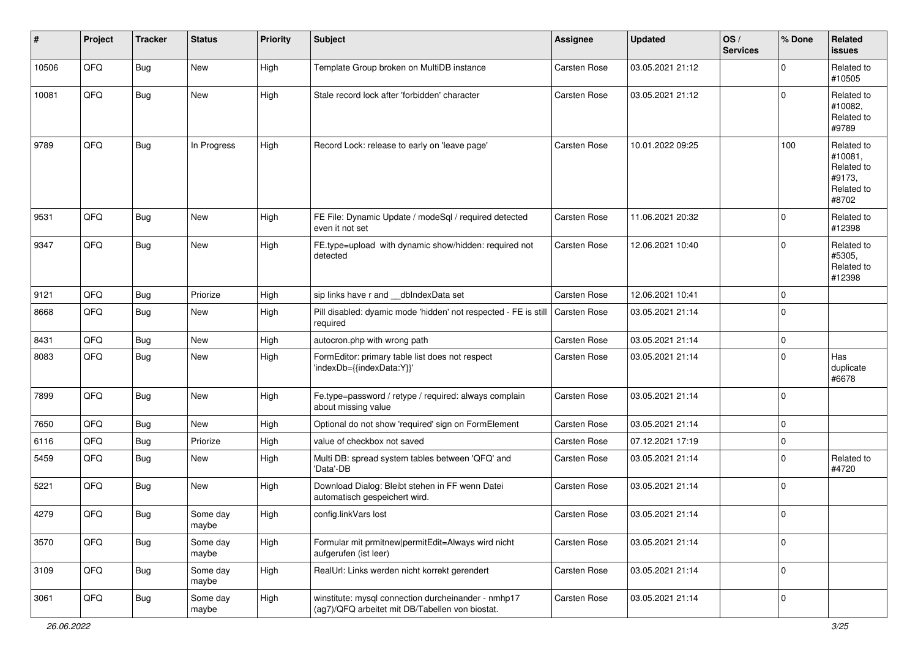| #     | Project | <b>Tracker</b> | <b>Status</b>     | <b>Priority</b> | <b>Subject</b>                                                                                         | <b>Assignee</b>     | <b>Updated</b>   | OS/<br><b>Services</b> | % Done      | <b>Related</b><br>issues                                             |
|-------|---------|----------------|-------------------|-----------------|--------------------------------------------------------------------------------------------------------|---------------------|------------------|------------------------|-------------|----------------------------------------------------------------------|
| 10506 | QFQ     | Bug            | New               | High            | Template Group broken on MultiDB instance                                                              | <b>Carsten Rose</b> | 03.05.2021 21:12 |                        | $\mathbf 0$ | Related to<br>#10505                                                 |
| 10081 | QFQ     | <b>Bug</b>     | <b>New</b>        | High            | Stale record lock after 'forbidden' character                                                          | <b>Carsten Rose</b> | 03.05.2021 21:12 |                        | $\Omega$    | Related to<br>#10082,<br>Related to<br>#9789                         |
| 9789  | QFQ     | Bug            | In Progress       | High            | Record Lock: release to early on 'leave page'                                                          | <b>Carsten Rose</b> | 10.01.2022 09:25 |                        | 100         | Related to<br>#10081,<br>Related to<br>#9173.<br>Related to<br>#8702 |
| 9531  | QFQ     | Bug            | New               | High            | FE File: Dynamic Update / modeSql / required detected<br>even it not set                               | <b>Carsten Rose</b> | 11.06.2021 20:32 |                        | $\mathbf 0$ | Related to<br>#12398                                                 |
| 9347  | QFQ     | Bug            | <b>New</b>        | High            | FE.type=upload with dynamic show/hidden: required not<br>detected                                      | <b>Carsten Rose</b> | 12.06.2021 10:40 |                        | $\mathbf 0$ | Related to<br>#5305,<br>Related to<br>#12398                         |
| 9121  | QFQ     | Bug            | Priorize          | High            | sip links have r and dblndexData set                                                                   | <b>Carsten Rose</b> | 12.06.2021 10:41 |                        | $\pmb{0}$   |                                                                      |
| 8668  | QFQ     | Bug            | New               | High            | Pill disabled: dyamic mode 'hidden' not respected - FE is still   Carsten Rose<br>required             |                     | 03.05.2021 21:14 |                        | $\mathbf 0$ |                                                                      |
| 8431  | QFQ     | Bug            | New               | High            | autocron.php with wrong path                                                                           | <b>Carsten Rose</b> | 03.05.2021 21:14 |                        | $\pmb{0}$   |                                                                      |
| 8083  | QFQ     | Bug            | New               | High            | FormEditor: primary table list does not respect<br>'indexDb={{indexData:Y}}'                           | <b>Carsten Rose</b> | 03.05.2021 21:14 |                        | $\mathbf 0$ | Has<br>duplicate<br>#6678                                            |
| 7899  | QFQ     | <b>Bug</b>     | New               | High            | Fe.type=password / retype / required: always complain<br>about missing value                           | <b>Carsten Rose</b> | 03.05.2021 21:14 |                        | $\mathbf 0$ |                                                                      |
| 7650  | QFQ     | Bug            | New               | High            | Optional do not show 'required' sign on FormElement                                                    | <b>Carsten Rose</b> | 03.05.2021 21:14 |                        | $\mathbf 0$ |                                                                      |
| 6116  | QFQ     | Bug            | Priorize          | High            | value of checkbox not saved                                                                            | <b>Carsten Rose</b> | 07.12.2021 17:19 |                        | $\pmb{0}$   |                                                                      |
| 5459  | QFQ     | Bug            | New               | High            | Multi DB: spread system tables between 'QFQ' and<br>'Data'-DB                                          | <b>Carsten Rose</b> | 03.05.2021 21:14 |                        | $\mathbf 0$ | Related to<br>#4720                                                  |
| 5221  | QFQ     | <b>Bug</b>     | New               | High            | Download Dialog: Bleibt stehen in FF wenn Datei<br>automatisch gespeichert wird.                       | <b>Carsten Rose</b> | 03.05.2021 21:14 |                        | $\mathbf 0$ |                                                                      |
| 4279  | QFQ     | Bug            | Some day<br>maybe | High            | config.linkVars lost                                                                                   | <b>Carsten Rose</b> | 03.05.2021 21:14 |                        | $\mathbf 0$ |                                                                      |
| 3570  | QFQ     | Bug            | Some day<br>maybe | High            | Formular mit prmitnew permitEdit=Always wird nicht<br>aufgerufen (ist leer)                            | Carsten Rose        | 03.05.2021 21:14 |                        | 0           |                                                                      |
| 3109  | QFQ     | <b>Bug</b>     | Some day<br>maybe | High            | RealUrl: Links werden nicht korrekt gerendert                                                          | Carsten Rose        | 03.05.2021 21:14 |                        | $\mathbf 0$ |                                                                      |
| 3061  | QFQ     | Bug            | Some day<br>maybe | High            | winstitute: mysql connection durcheinander - nmhp17<br>(ag7)/QFQ arbeitet mit DB/Tabellen von biostat. | Carsten Rose        | 03.05.2021 21:14 |                        | $\mathbf 0$ |                                                                      |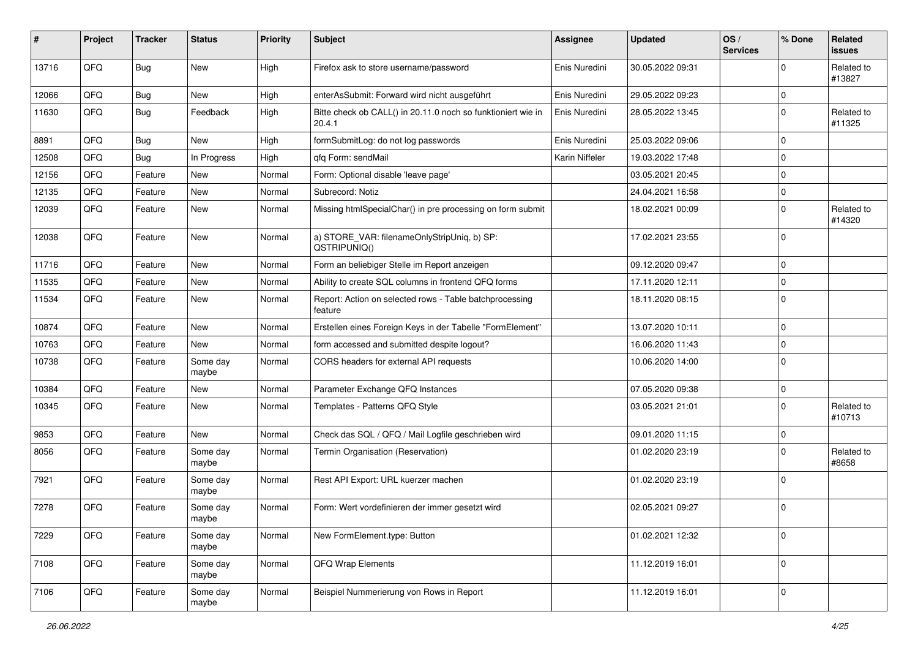| #     | Project | <b>Tracker</b> | <b>Status</b>     | <b>Priority</b> | <b>Subject</b>                                                         | <b>Assignee</b> | <b>Updated</b>   | OS/<br><b>Services</b> | % Done      | Related<br><b>issues</b> |
|-------|---------|----------------|-------------------|-----------------|------------------------------------------------------------------------|-----------------|------------------|------------------------|-------------|--------------------------|
| 13716 | QFQ     | Bug            | <b>New</b>        | High            | Firefox ask to store username/password                                 | Enis Nuredini   | 30.05.2022 09:31 |                        | $\mathbf 0$ | Related to<br>#13827     |
| 12066 | QFQ     | Bug            | <b>New</b>        | High            | enterAsSubmit: Forward wird nicht ausgeführt                           | Enis Nuredini   | 29.05.2022 09:23 |                        | $\mathbf 0$ |                          |
| 11630 | QFQ     | Bug            | Feedback          | High            | Bitte check ob CALL() in 20.11.0 noch so funktioniert wie in<br>20.4.1 | Enis Nuredini   | 28.05.2022 13:45 |                        | $\mathbf 0$ | Related to<br>#11325     |
| 8891  | QFQ     | <b>Bug</b>     | <b>New</b>        | High            | formSubmitLog: do not log passwords                                    | Enis Nuredini   | 25.03.2022 09:06 |                        | $\mathbf 0$ |                          |
| 12508 | QFQ     | Bug            | In Progress       | High            | qfq Form: sendMail                                                     | Karin Niffeler  | 19.03.2022 17:48 |                        | $\mathbf 0$ |                          |
| 12156 | QFQ     | Feature        | <b>New</b>        | Normal          | Form: Optional disable 'leave page'                                    |                 | 03.05.2021 20:45 |                        | 0           |                          |
| 12135 | QFQ     | Feature        | <b>New</b>        | Normal          | Subrecord: Notiz                                                       |                 | 24.04.2021 16:58 |                        | $\mathbf 0$ |                          |
| 12039 | QFQ     | Feature        | <b>New</b>        | Normal          | Missing htmlSpecialChar() in pre processing on form submit             |                 | 18.02.2021 00:09 |                        | 0           | Related to<br>#14320     |
| 12038 | QFQ     | Feature        | <b>New</b>        | Normal          | a) STORE_VAR: filenameOnlyStripUniq, b) SP:<br>QSTRIPUNIQ()            |                 | 17.02.2021 23:55 |                        | $\mathbf 0$ |                          |
| 11716 | QFQ     | Feature        | <b>New</b>        | Normal          | Form an beliebiger Stelle im Report anzeigen                           |                 | 09.12.2020 09:47 |                        | $\mathbf 0$ |                          |
| 11535 | QFQ     | Feature        | New               | Normal          | Ability to create SQL columns in frontend QFQ forms                    |                 | 17.11.2020 12:11 |                        | $\mathbf 0$ |                          |
| 11534 | QFQ     | Feature        | New               | Normal          | Report: Action on selected rows - Table batchprocessing<br>feature     |                 | 18.11.2020 08:15 |                        | $\mathbf 0$ |                          |
| 10874 | QFQ     | Feature        | <b>New</b>        | Normal          | Erstellen eines Foreign Keys in der Tabelle "FormElement"              |                 | 13.07.2020 10:11 |                        | $\mathbf 0$ |                          |
| 10763 | QFQ     | Feature        | <b>New</b>        | Normal          | form accessed and submitted despite logout?                            |                 | 16.06.2020 11:43 |                        | $\mathbf 0$ |                          |
| 10738 | QFQ     | Feature        | Some day<br>maybe | Normal          | CORS headers for external API requests                                 |                 | 10.06.2020 14:00 |                        | $\mathbf 0$ |                          |
| 10384 | QFQ     | Feature        | <b>New</b>        | Normal          | Parameter Exchange QFQ Instances                                       |                 | 07.05.2020 09:38 |                        | $\mathbf 0$ |                          |
| 10345 | QFQ     | Feature        | New               | Normal          | Templates - Patterns QFQ Style                                         |                 | 03.05.2021 21:01 |                        | $\mathbf 0$ | Related to<br>#10713     |
| 9853  | QFQ     | Feature        | <b>New</b>        | Normal          | Check das SQL / QFQ / Mail Logfile geschrieben wird                    |                 | 09.01.2020 11:15 |                        | $\mathbf 0$ |                          |
| 8056  | QFQ     | Feature        | Some day<br>maybe | Normal          | Termin Organisation (Reservation)                                      |                 | 01.02.2020 23:19 |                        | 0           | Related to<br>#8658      |
| 7921  | QFQ     | Feature        | Some day<br>maybe | Normal          | Rest API Export: URL kuerzer machen                                    |                 | 01.02.2020 23:19 |                        | $\mathbf 0$ |                          |
| 7278  | QFQ     | Feature        | Some day<br>maybe | Normal          | Form: Wert vordefinieren der immer gesetzt wird                        |                 | 02.05.2021 09:27 |                        | $\mathbf 0$ |                          |
| 7229  | QFQ     | Feature        | Some day<br>maybe | Normal          | New FormElement.type: Button                                           |                 | 01.02.2021 12:32 |                        | $\mathbf 0$ |                          |
| 7108  | QFQ     | Feature        | Some day<br>maybe | Normal          | QFQ Wrap Elements                                                      |                 | 11.12.2019 16:01 |                        | $\mathbf 0$ |                          |
| 7106  | QFQ     | Feature        | Some day<br>maybe | Normal          | Beispiel Nummerierung von Rows in Report                               |                 | 11.12.2019 16:01 |                        | $\pmb{0}$   |                          |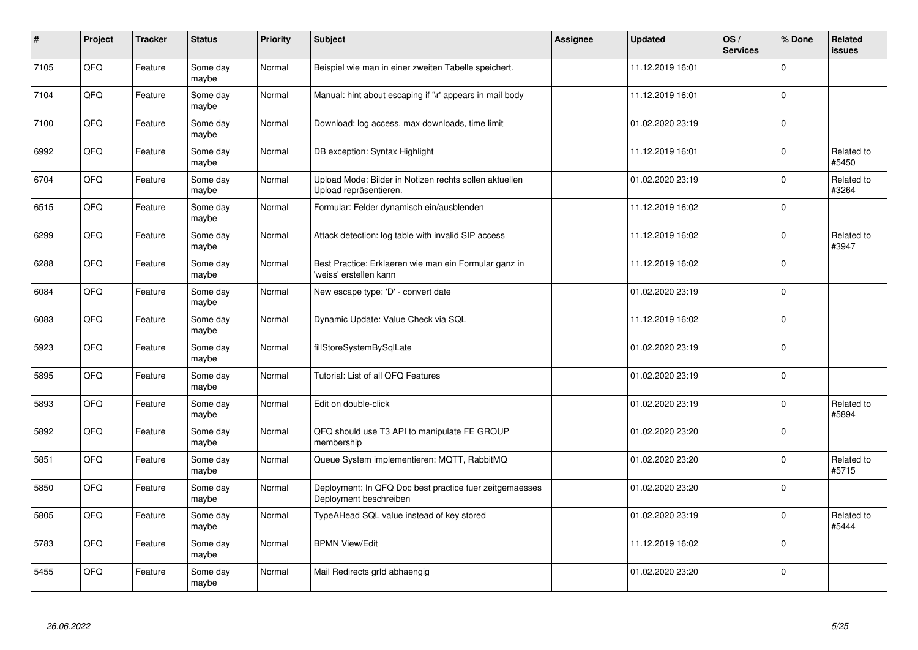| $\pmb{\#}$ | Project | <b>Tracker</b> | <b>Status</b>     | <b>Priority</b> | <b>Subject</b>                                                                    | <b>Assignee</b> | <b>Updated</b>   | OS/<br><b>Services</b> | % Done      | Related<br><b>issues</b> |
|------------|---------|----------------|-------------------|-----------------|-----------------------------------------------------------------------------------|-----------------|------------------|------------------------|-------------|--------------------------|
| 7105       | QFQ     | Feature        | Some day<br>maybe | Normal          | Beispiel wie man in einer zweiten Tabelle speichert.                              |                 | 11.12.2019 16:01 |                        | $\mathbf 0$ |                          |
| 7104       | QFQ     | Feature        | Some day<br>maybe | Normal          | Manual: hint about escaping if '\r' appears in mail body                          |                 | 11.12.2019 16:01 |                        | $\mathbf 0$ |                          |
| 7100       | QFQ     | Feature        | Some day<br>maybe | Normal          | Download: log access, max downloads, time limit                                   |                 | 01.02.2020 23:19 |                        | $\pmb{0}$   |                          |
| 6992       | QFQ     | Feature        | Some day<br>maybe | Normal          | DB exception: Syntax Highlight                                                    |                 | 11.12.2019 16:01 |                        | $\Omega$    | Related to<br>#5450      |
| 6704       | QFQ     | Feature        | Some day<br>maybe | Normal          | Upload Mode: Bilder in Notizen rechts sollen aktuellen<br>Upload repräsentieren.  |                 | 01.02.2020 23:19 |                        | $\mathbf 0$ | Related to<br>#3264      |
| 6515       | QFQ     | Feature        | Some day<br>maybe | Normal          | Formular: Felder dynamisch ein/ausblenden                                         |                 | 11.12.2019 16:02 |                        | $\pmb{0}$   |                          |
| 6299       | QFQ     | Feature        | Some day<br>maybe | Normal          | Attack detection: log table with invalid SIP access                               |                 | 11.12.2019 16:02 |                        | $\mathbf 0$ | Related to<br>#3947      |
| 6288       | QFQ     | Feature        | Some day<br>maybe | Normal          | Best Practice: Erklaeren wie man ein Formular ganz in<br>'weiss' erstellen kann   |                 | 11.12.2019 16:02 |                        | $\mathbf 0$ |                          |
| 6084       | QFQ     | Feature        | Some day<br>maybe | Normal          | New escape type: 'D' - convert date                                               |                 | 01.02.2020 23:19 |                        | $\pmb{0}$   |                          |
| 6083       | QFQ     | Feature        | Some day<br>maybe | Normal          | Dynamic Update: Value Check via SQL                                               |                 | 11.12.2019 16:02 |                        | $\mathbf 0$ |                          |
| 5923       | QFQ     | Feature        | Some day<br>maybe | Normal          | fillStoreSystemBySqlLate                                                          |                 | 01.02.2020 23:19 |                        | $\mathbf 0$ |                          |
| 5895       | QFQ     | Feature        | Some day<br>maybe | Normal          | Tutorial: List of all QFQ Features                                                |                 | 01.02.2020 23:19 |                        | $\pmb{0}$   |                          |
| 5893       | QFQ     | Feature        | Some day<br>maybe | Normal          | Edit on double-click                                                              |                 | 01.02.2020 23:19 |                        | $\mathbf 0$ | Related to<br>#5894      |
| 5892       | QFQ     | Feature        | Some day<br>maybe | Normal          | QFQ should use T3 API to manipulate FE GROUP<br>membership                        |                 | 01.02.2020 23:20 |                        | $\mathbf 0$ |                          |
| 5851       | QFQ     | Feature        | Some day<br>maybe | Normal          | Queue System implementieren: MQTT, RabbitMQ                                       |                 | 01.02.2020 23:20 |                        | $\Omega$    | Related to<br>#5715      |
| 5850       | QFQ     | Feature        | Some day<br>maybe | Normal          | Deployment: In QFQ Doc best practice fuer zeitgemaesses<br>Deployment beschreiben |                 | 01.02.2020 23:20 |                        | $\mathbf 0$ |                          |
| 5805       | QFQ     | Feature        | Some day<br>maybe | Normal          | TypeAHead SQL value instead of key stored                                         |                 | 01.02.2020 23:19 |                        | $\mathbf 0$ | Related to<br>#5444      |
| 5783       | QFQ     | Feature        | Some day<br>maybe | Normal          | <b>BPMN View/Edit</b>                                                             |                 | 11.12.2019 16:02 |                        | $\pmb{0}$   |                          |
| 5455       | QFQ     | Feature        | Some day<br>maybe | Normal          | Mail Redirects grld abhaengig                                                     |                 | 01.02.2020 23:20 |                        | $\mathbf 0$ |                          |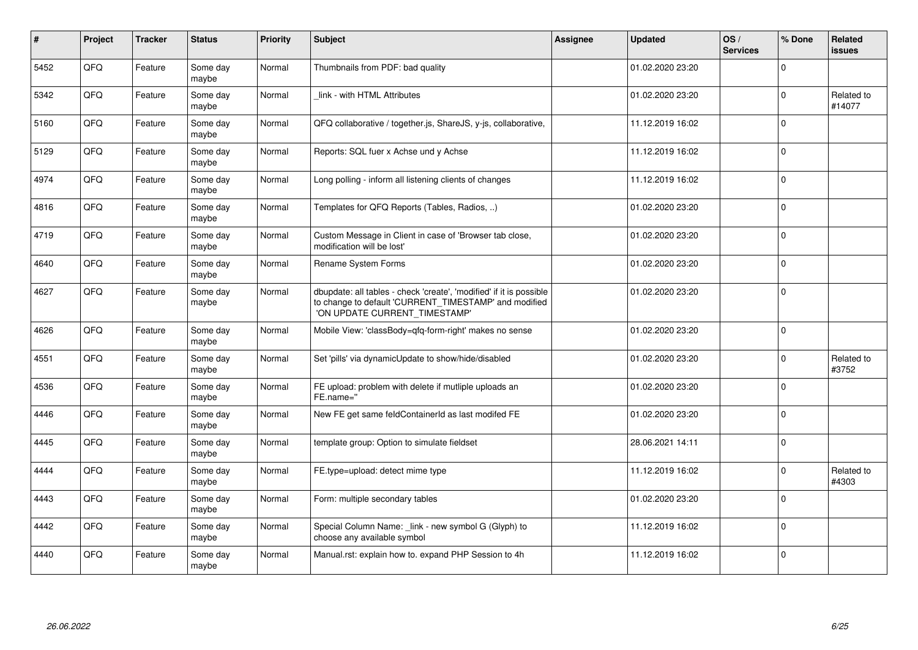| #    | Project | <b>Tracker</b> | <b>Status</b>     | <b>Priority</b> | Subject                                                                                                                                                       | <b>Assignee</b> | <b>Updated</b>   | OS/<br><b>Services</b> | % Done      | Related<br><b>issues</b> |
|------|---------|----------------|-------------------|-----------------|---------------------------------------------------------------------------------------------------------------------------------------------------------------|-----------------|------------------|------------------------|-------------|--------------------------|
| 5452 | QFQ     | Feature        | Some day<br>maybe | Normal          | Thumbnails from PDF: bad quality                                                                                                                              |                 | 01.02.2020 23:20 |                        | $\Omega$    |                          |
| 5342 | QFQ     | Feature        | Some day<br>maybe | Normal          | link - with HTML Attributes                                                                                                                                   |                 | 01.02.2020 23:20 |                        | $\Omega$    | Related to<br>#14077     |
| 5160 | QFQ     | Feature        | Some day<br>maybe | Normal          | QFQ collaborative / together.js, ShareJS, y-js, collaborative,                                                                                                |                 | 11.12.2019 16:02 |                        | $\mathbf 0$ |                          |
| 5129 | QFQ     | Feature        | Some day<br>maybe | Normal          | Reports: SQL fuer x Achse und y Achse                                                                                                                         |                 | 11.12.2019 16:02 |                        | $\mathbf 0$ |                          |
| 4974 | QFQ     | Feature        | Some day<br>maybe | Normal          | Long polling - inform all listening clients of changes                                                                                                        |                 | 11.12.2019 16:02 |                        | $\mathbf 0$ |                          |
| 4816 | QFQ     | Feature        | Some day<br>maybe | Normal          | Templates for QFQ Reports (Tables, Radios, )                                                                                                                  |                 | 01.02.2020 23:20 |                        | $\mathbf 0$ |                          |
| 4719 | QFQ     | Feature        | Some day<br>maybe | Normal          | Custom Message in Client in case of 'Browser tab close,<br>modification will be lost'                                                                         |                 | 01.02.2020 23:20 |                        | $\Omega$    |                          |
| 4640 | QFQ     | Feature        | Some day<br>maybe | Normal          | Rename System Forms                                                                                                                                           |                 | 01.02.2020 23:20 |                        | $\mathbf 0$ |                          |
| 4627 | QFQ     | Feature        | Some day<br>maybe | Normal          | dbupdate: all tables - check 'create', 'modified' if it is possible<br>to change to default 'CURRENT_TIMESTAMP' and modified<br>'ON UPDATE CURRENT_TIMESTAMP' |                 | 01.02.2020 23:20 |                        | $\mathbf 0$ |                          |
| 4626 | QFQ     | Feature        | Some day<br>maybe | Normal          | Mobile View: 'classBody=qfq-form-right' makes no sense                                                                                                        |                 | 01.02.2020 23:20 |                        | $\mathbf 0$ |                          |
| 4551 | QFQ     | Feature        | Some day<br>maybe | Normal          | Set 'pills' via dynamicUpdate to show/hide/disabled                                                                                                           |                 | 01.02.2020 23:20 |                        | $\Omega$    | Related to<br>#3752      |
| 4536 | QFQ     | Feature        | Some day<br>maybe | Normal          | FE upload: problem with delete if mutliple uploads an<br>FE.name="                                                                                            |                 | 01.02.2020 23:20 |                        | $\mathbf 0$ |                          |
| 4446 | QFQ     | Feature        | Some day<br>maybe | Normal          | New FE get same feldContainerId as last modifed FE                                                                                                            |                 | 01.02.2020 23:20 |                        | $\Omega$    |                          |
| 4445 | QFQ     | Feature        | Some day<br>maybe | Normal          | template group: Option to simulate fieldset                                                                                                                   |                 | 28.06.2021 14:11 |                        | $\Omega$    |                          |
| 4444 | QFQ     | Feature        | Some day<br>maybe | Normal          | FE.type=upload: detect mime type                                                                                                                              |                 | 11.12.2019 16:02 |                        | $\mathbf 0$ | Related to<br>#4303      |
| 4443 | QFQ     | Feature        | Some day<br>maybe | Normal          | Form: multiple secondary tables                                                                                                                               |                 | 01.02.2020 23:20 |                        | $\mathbf 0$ |                          |
| 4442 | QFQ     | Feature        | Some day<br>maybe | Normal          | Special Column Name: _link - new symbol G (Glyph) to<br>choose any available symbol                                                                           |                 | 11.12.2019 16:02 |                        | $\mathbf 0$ |                          |
| 4440 | QFQ     | Feature        | Some day<br>maybe | Normal          | Manual.rst: explain how to. expand PHP Session to 4h                                                                                                          |                 | 11.12.2019 16:02 |                        | $\Omega$    |                          |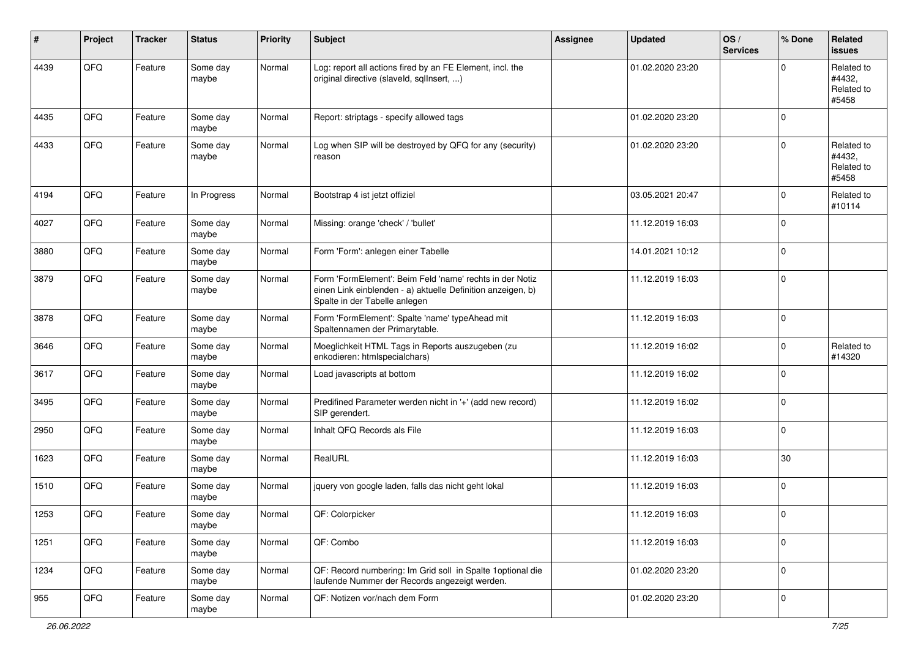| $\vert$ # | Project | <b>Tracker</b> | <b>Status</b>     | <b>Priority</b> | <b>Subject</b>                                                                                                                                           | <b>Assignee</b> | <b>Updated</b>   | OS/<br><b>Services</b> | % Done      | Related<br>issues                           |
|-----------|---------|----------------|-------------------|-----------------|----------------------------------------------------------------------------------------------------------------------------------------------------------|-----------------|------------------|------------------------|-------------|---------------------------------------------|
| 4439      | QFQ     | Feature        | Some day<br>maybe | Normal          | Log: report all actions fired by an FE Element, incl. the<br>original directive (slaveld, sqllnsert, )                                                   |                 | 01.02.2020 23:20 |                        | $\Omega$    | Related to<br>#4432,<br>Related to<br>#5458 |
| 4435      | QFQ     | Feature        | Some day<br>maybe | Normal          | Report: striptags - specify allowed tags                                                                                                                 |                 | 01.02.2020 23:20 |                        | 0           |                                             |
| 4433      | QFQ     | Feature        | Some day<br>maybe | Normal          | Log when SIP will be destroyed by QFQ for any (security)<br>reason                                                                                       |                 | 01.02.2020 23:20 |                        | 0           | Related to<br>#4432,<br>Related to<br>#5458 |
| 4194      | QFQ     | Feature        | In Progress       | Normal          | Bootstrap 4 ist jetzt offiziel                                                                                                                           |                 | 03.05.2021 20:47 |                        | 0           | Related to<br>#10114                        |
| 4027      | QFQ     | Feature        | Some day<br>maybe | Normal          | Missing: orange 'check' / 'bullet'                                                                                                                       |                 | 11.12.2019 16:03 |                        | $\mathbf 0$ |                                             |
| 3880      | QFQ     | Feature        | Some day<br>maybe | Normal          | Form 'Form': anlegen einer Tabelle                                                                                                                       |                 | 14.01.2021 10:12 |                        | 0           |                                             |
| 3879      | QFQ     | Feature        | Some day<br>maybe | Normal          | Form 'FormElement': Beim Feld 'name' rechts in der Notiz<br>einen Link einblenden - a) aktuelle Definition anzeigen, b)<br>Spalte in der Tabelle anlegen |                 | 11.12.2019 16:03 |                        | $\mathbf 0$ |                                             |
| 3878      | QFQ     | Feature        | Some day<br>maybe | Normal          | Form 'FormElement': Spalte 'name' typeAhead mit<br>Spaltennamen der Primarytable.                                                                        |                 | 11.12.2019 16:03 |                        | $\pmb{0}$   |                                             |
| 3646      | QFQ     | Feature        | Some day<br>maybe | Normal          | Moeglichkeit HTML Tags in Reports auszugeben (zu<br>enkodieren: htmlspecialchars)                                                                        |                 | 11.12.2019 16:02 |                        | 0           | Related to<br>#14320                        |
| 3617      | QFQ     | Feature        | Some day<br>maybe | Normal          | Load javascripts at bottom                                                                                                                               |                 | 11.12.2019 16:02 |                        | 0           |                                             |
| 3495      | QFQ     | Feature        | Some day<br>maybe | Normal          | Predifined Parameter werden nicht in '+' (add new record)<br>SIP gerendert.                                                                              |                 | 11.12.2019 16:02 |                        | $\mathbf 0$ |                                             |
| 2950      | QFQ     | Feature        | Some day<br>maybe | Normal          | Inhalt QFQ Records als File                                                                                                                              |                 | 11.12.2019 16:03 |                        | 0           |                                             |
| 1623      | QFQ     | Feature        | Some day<br>maybe | Normal          | RealURL                                                                                                                                                  |                 | 11.12.2019 16:03 |                        | $30\,$      |                                             |
| 1510      | QFQ     | Feature        | Some day<br>maybe | Normal          | jquery von google laden, falls das nicht geht lokal                                                                                                      |                 | 11.12.2019 16:03 |                        | 0           |                                             |
| 1253      | QFQ     | Feature        | Some day<br>maybe | Normal          | QF: Colorpicker                                                                                                                                          |                 | 11.12.2019 16:03 |                        | $\mathbf 0$ |                                             |
| 1251      | QFQ     | Feature        | Some day<br>maybe | Normal          | QF: Combo                                                                                                                                                |                 | 11.12.2019 16:03 |                        | $\mathbf 0$ |                                             |
| 1234      | QFQ     | Feature        | Some day<br>maybe | Normal          | QF: Record numbering: Im Grid soll in Spalte 1 optional die<br>laufende Nummer der Records angezeigt werden.                                             |                 | 01.02.2020 23:20 |                        | $\pmb{0}$   |                                             |
| 955       | QFG     | Feature        | Some day<br>maybe | Normal          | QF: Notizen vor/nach dem Form                                                                                                                            |                 | 01.02.2020 23:20 |                        | $\pmb{0}$   |                                             |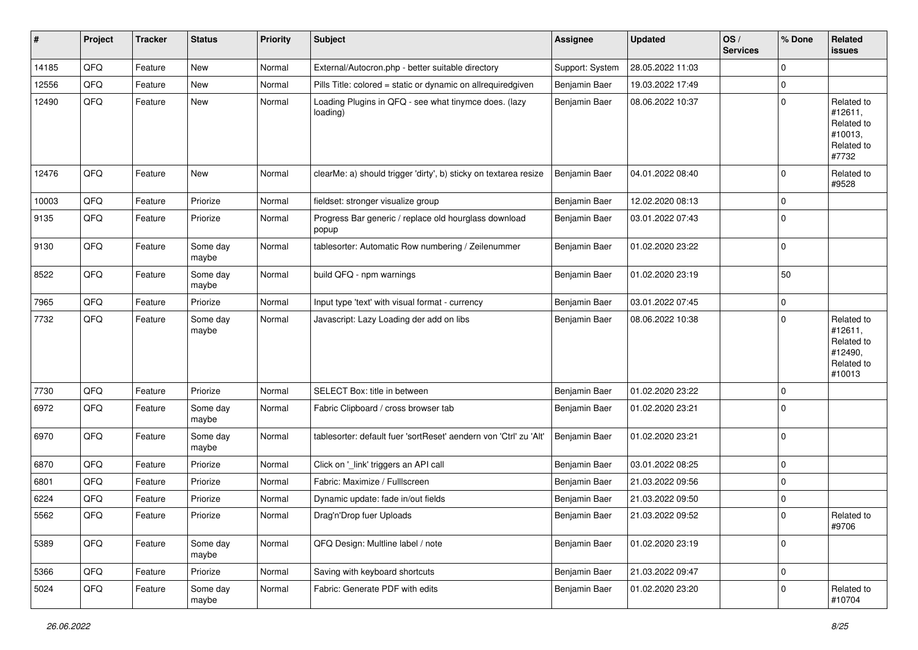| #     | Project | <b>Tracker</b> | <b>Status</b>     | <b>Priority</b> | Subject                                                           | <b>Assignee</b> | <b>Updated</b>   | OS/<br><b>Services</b> | % Done      | Related<br>issues                                                      |
|-------|---------|----------------|-------------------|-----------------|-------------------------------------------------------------------|-----------------|------------------|------------------------|-------------|------------------------------------------------------------------------|
| 14185 | QFQ     | Feature        | <b>New</b>        | Normal          | External/Autocron.php - better suitable directory                 | Support: System | 28.05.2022 11:03 |                        | $\mathbf 0$ |                                                                        |
| 12556 | QFQ     | Feature        | New               | Normal          | Pills Title: colored = static or dynamic on allrequiredgiven      | Benjamin Baer   | 19.03.2022 17:49 |                        | $\mathbf 0$ |                                                                        |
| 12490 | QFQ     | Feature        | New               | Normal          | Loading Plugins in QFQ - see what tinymce does. (lazy<br>loading) | Benjamin Baer   | 08.06.2022 10:37 |                        | $\mathbf 0$ | Related to<br>#12611,<br>Related to<br>#10013,<br>Related to<br>#7732  |
| 12476 | QFQ     | Feature        | New               | Normal          | clearMe: a) should trigger 'dirty', b) sticky on textarea resize  | Benjamin Baer   | 04.01.2022 08:40 |                        | $\mathbf 0$ | Related to<br>#9528                                                    |
| 10003 | QFQ     | Feature        | Priorize          | Normal          | fieldset: stronger visualize group                                | Benjamin Baer   | 12.02.2020 08:13 |                        | $\mathbf 0$ |                                                                        |
| 9135  | QFQ     | Feature        | Priorize          | Normal          | Progress Bar generic / replace old hourglass download<br>popup    | Benjamin Baer   | 03.01.2022 07:43 |                        | $\mathbf 0$ |                                                                        |
| 9130  | QFQ     | Feature        | Some day<br>maybe | Normal          | tablesorter: Automatic Row numbering / Zeilenummer                | Benjamin Baer   | 01.02.2020 23:22 |                        | $\mathbf 0$ |                                                                        |
| 8522  | QFQ     | Feature        | Some day<br>maybe | Normal          | build QFQ - npm warnings                                          | Benjamin Baer   | 01.02.2020 23:19 |                        | 50          |                                                                        |
| 7965  | QFQ     | Feature        | Priorize          | Normal          | Input type 'text' with visual format - currency                   | Benjamin Baer   | 03.01.2022 07:45 |                        | $\mathbf 0$ |                                                                        |
| 7732  | QFQ     | Feature        | Some day<br>maybe | Normal          | Javascript: Lazy Loading der add on libs                          | Benjamin Baer   | 08.06.2022 10:38 |                        | $\mathbf 0$ | Related to<br>#12611,<br>Related to<br>#12490,<br>Related to<br>#10013 |
| 7730  | QFQ     | Feature        | Priorize          | Normal          | SELECT Box: title in between                                      | Benjamin Baer   | 01.02.2020 23:22 |                        | $\mathbf 0$ |                                                                        |
| 6972  | QFQ     | Feature        | Some day<br>maybe | Normal          | Fabric Clipboard / cross browser tab                              | Benjamin Baer   | 01.02.2020 23:21 |                        | $\mathbf 0$ |                                                                        |
| 6970  | QFQ     | Feature        | Some day<br>maybe | Normal          | tablesorter: default fuer 'sortReset' aendern von 'Ctrl' zu 'Alt' | Benjamin Baer   | 01.02.2020 23:21 |                        | $\mathbf 0$ |                                                                        |
| 6870  | QFQ     | Feature        | Priorize          | Normal          | Click on '_link' triggers an API call                             | Benjamin Baer   | 03.01.2022 08:25 |                        | $\mathbf 0$ |                                                                        |
| 6801  | QFQ     | Feature        | Priorize          | Normal          | Fabric: Maximize / FullIscreen                                    | Benjamin Baer   | 21.03.2022 09:56 |                        | $\mathbf 0$ |                                                                        |
| 6224  | QFQ     | Feature        | Priorize          | Normal          | Dynamic update: fade in/out fields                                | Benjamin Baer   | 21.03.2022 09:50 |                        | $\mathbf 0$ |                                                                        |
| 5562  | QFQ     | Feature        | Priorize          | Normal          | Drag'n'Drop fuer Uploads                                          | Benjamin Baer   | 21.03.2022 09:52 |                        | $\Omega$    | Related to<br>#9706                                                    |
| 5389  | QFQ     | Feature        | Some day<br>maybe | Normal          | QFQ Design: Multline label / note                                 | Benjamin Baer   | 01.02.2020 23:19 |                        | $\mathbf 0$ |                                                                        |
| 5366  | QFQ     | Feature        | Priorize          | Normal          | Saving with keyboard shortcuts                                    | Benjamin Baer   | 21.03.2022 09:47 |                        | $\mathbf 0$ |                                                                        |
| 5024  | QFQ     | Feature        | Some day<br>maybe | Normal          | Fabric: Generate PDF with edits                                   | Benjamin Baer   | 01.02.2020 23:20 |                        | $\mathbf 0$ | Related to<br>#10704                                                   |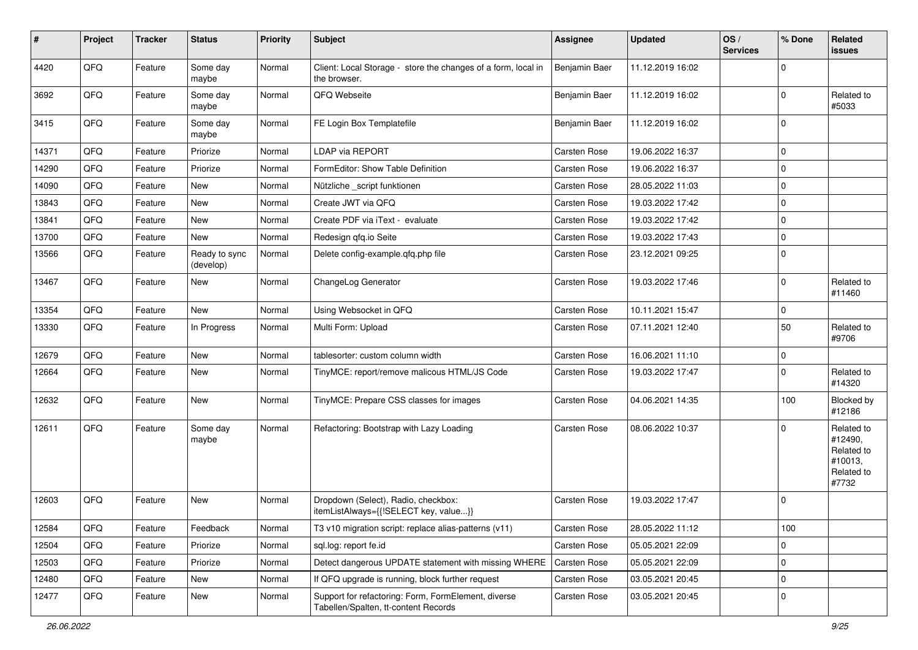| #     | Project | <b>Tracker</b> | <b>Status</b>              | <b>Priority</b> | <b>Subject</b>                                                                              | <b>Assignee</b> | <b>Updated</b>   | OS/<br><b>Services</b> | % Done         | Related<br><b>issues</b>                                              |
|-------|---------|----------------|----------------------------|-----------------|---------------------------------------------------------------------------------------------|-----------------|------------------|------------------------|----------------|-----------------------------------------------------------------------|
| 4420  | QFQ     | Feature        | Some day<br>maybe          | Normal          | Client: Local Storage - store the changes of a form, local in<br>the browser.               | Benjamin Baer   | 11.12.2019 16:02 |                        | $\mathbf 0$    |                                                                       |
| 3692  | QFQ     | Feature        | Some day<br>maybe          | Normal          | QFQ Webseite                                                                                | Benjamin Baer   | 11.12.2019 16:02 |                        | $\mathbf 0$    | Related to<br>#5033                                                   |
| 3415  | QFQ     | Feature        | Some day<br>maybe          | Normal          | FE Login Box Templatefile                                                                   | Benjamin Baer   | 11.12.2019 16:02 |                        | $\mathbf 0$    |                                                                       |
| 14371 | QFQ     | Feature        | Priorize                   | Normal          | LDAP via REPORT                                                                             | Carsten Rose    | 19.06.2022 16:37 |                        | $\overline{0}$ |                                                                       |
| 14290 | QFQ     | Feature        | Priorize                   | Normal          | FormEditor: Show Table Definition                                                           | Carsten Rose    | 19.06.2022 16:37 |                        | $\mathbf 0$    |                                                                       |
| 14090 | QFQ     | Feature        | <b>New</b>                 | Normal          | Nützliche _script funktionen                                                                | Carsten Rose    | 28.05.2022 11:03 |                        | $\mathbf 0$    |                                                                       |
| 13843 | QFQ     | Feature        | New                        | Normal          | Create JWT via QFQ                                                                          | Carsten Rose    | 19.03.2022 17:42 |                        | $\overline{0}$ |                                                                       |
| 13841 | QFQ     | Feature        | New                        | Normal          | Create PDF via iText - evaluate                                                             | Carsten Rose    | 19.03.2022 17:42 |                        | $\mathbf 0$    |                                                                       |
| 13700 | QFQ     | Feature        | <b>New</b>                 | Normal          | Redesign qfq.io Seite                                                                       | Carsten Rose    | 19.03.2022 17:43 |                        | $\overline{0}$ |                                                                       |
| 13566 | QFQ     | Feature        | Ready to sync<br>(develop) | Normal          | Delete config-example.qfq.php file                                                          | Carsten Rose    | 23.12.2021 09:25 |                        | $\mathbf 0$    |                                                                       |
| 13467 | QFQ     | Feature        | New                        | Normal          | ChangeLog Generator                                                                         | Carsten Rose    | 19.03.2022 17:46 |                        | $\mathbf 0$    | Related to<br>#11460                                                  |
| 13354 | QFQ     | Feature        | <b>New</b>                 | Normal          | Using Websocket in QFQ                                                                      | Carsten Rose    | 10.11.2021 15:47 |                        | $\mathbf 0$    |                                                                       |
| 13330 | QFQ     | Feature        | In Progress                | Normal          | Multi Form: Upload                                                                          | Carsten Rose    | 07.11.2021 12:40 |                        | 50             | Related to<br>#9706                                                   |
| 12679 | QFQ     | Feature        | New                        | Normal          | tablesorter: custom column width                                                            | Carsten Rose    | 16.06.2021 11:10 |                        | $\mathbf 0$    |                                                                       |
| 12664 | QFQ     | Feature        | <b>New</b>                 | Normal          | TinyMCE: report/remove malicous HTML/JS Code                                                | Carsten Rose    | 19.03.2022 17:47 |                        | $\Omega$       | Related to<br>#14320                                                  |
| 12632 | QFQ     | Feature        | New                        | Normal          | TinyMCE: Prepare CSS classes for images                                                     | Carsten Rose    | 04.06.2021 14:35 |                        | 100            | Blocked by<br>#12186                                                  |
| 12611 | QFQ     | Feature        | Some day<br>maybe          | Normal          | Refactoring: Bootstrap with Lazy Loading                                                    | Carsten Rose    | 08.06.2022 10:37 |                        | 0              | Related to<br>#12490,<br>Related to<br>#10013,<br>Related to<br>#7732 |
| 12603 | QFQ     | Feature        | <b>New</b>                 | Normal          | Dropdown (Select), Radio, checkbox:<br>itemListAlways={{!SELECT key, value}}                | Carsten Rose    | 19.03.2022 17:47 |                        | 0              |                                                                       |
| 12584 | QFQ     | Feature        | Feedback                   | Normal          | T3 v10 migration script: replace alias-patterns (v11)                                       | Carsten Rose    | 28.05.2022 11:12 |                        | 100            |                                                                       |
| 12504 | QFQ     | Feature        | Priorize                   | Normal          | sql.log: report fe.id                                                                       | Carsten Rose    | 05.05.2021 22:09 |                        | $\mathbf 0$    |                                                                       |
| 12503 | QFQ     | Feature        | Priorize                   | Normal          | Detect dangerous UPDATE statement with missing WHERE                                        | Carsten Rose    | 05.05.2021 22:09 |                        | 0              |                                                                       |
| 12480 | QFG     | Feature        | New                        | Normal          | If QFQ upgrade is running, block further request                                            | Carsten Rose    | 03.05.2021 20:45 |                        | $\overline{0}$ |                                                                       |
| 12477 | QFQ     | Feature        | New                        | Normal          | Support for refactoring: Form, FormElement, diverse<br>Tabellen/Spalten, tt-content Records | Carsten Rose    | 03.05.2021 20:45 |                        | $\overline{0}$ |                                                                       |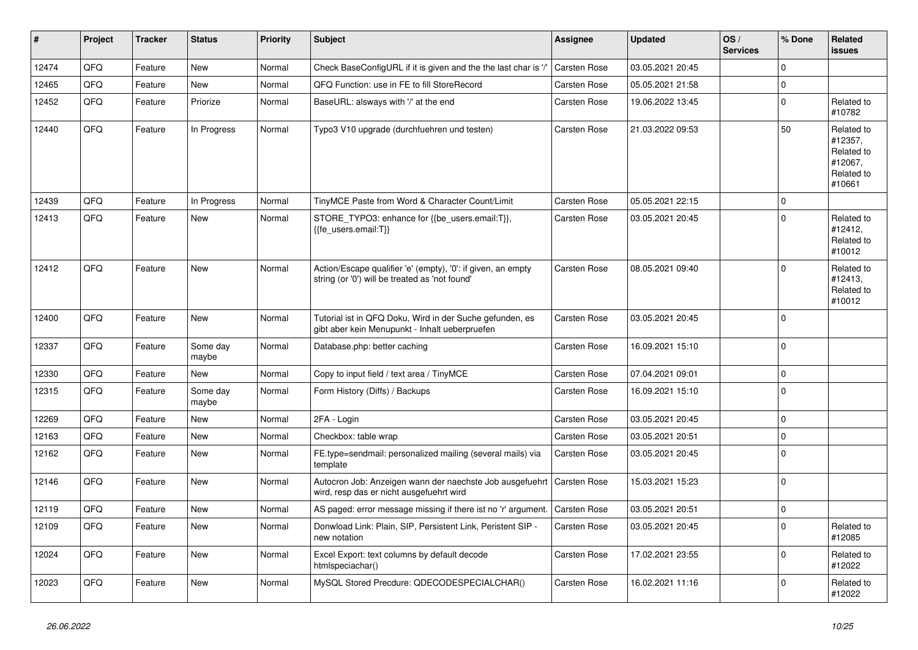| #     | Project | <b>Tracker</b> | <b>Status</b>     | <b>Priority</b> | <b>Subject</b>                                                                                                | <b>Assignee</b>     | <b>Updated</b>   | OS/<br><b>Services</b> | % Done      | Related<br>issues                                                      |
|-------|---------|----------------|-------------------|-----------------|---------------------------------------------------------------------------------------------------------------|---------------------|------------------|------------------------|-------------|------------------------------------------------------------------------|
| 12474 | QFQ     | Feature        | <b>New</b>        | Normal          | Check BaseConfigURL if it is given and the the last char is '/'                                               | <b>Carsten Rose</b> | 03.05.2021 20:45 |                        | $\Omega$    |                                                                        |
| 12465 | QFQ     | Feature        | <b>New</b>        | Normal          | QFQ Function: use in FE to fill StoreRecord                                                                   | Carsten Rose        | 05.05.2021 21:58 |                        | $\Omega$    |                                                                        |
| 12452 | QFQ     | Feature        | Priorize          | Normal          | BaseURL: alsways with '/' at the end                                                                          | <b>Carsten Rose</b> | 19.06.2022 13:45 |                        | $\Omega$    | Related to<br>#10782                                                   |
| 12440 | QFQ     | Feature        | In Progress       | Normal          | Typo3 V10 upgrade (durchfuehren und testen)                                                                   | Carsten Rose        | 21.03.2022 09:53 |                        | 50          | Related to<br>#12357,<br>Related to<br>#12067,<br>Related to<br>#10661 |
| 12439 | QFQ     | Feature        | In Progress       | Normal          | TinyMCE Paste from Word & Character Count/Limit                                                               | Carsten Rose        | 05.05.2021 22:15 |                        | $\mathbf 0$ |                                                                        |
| 12413 | QFQ     | Feature        | New               | Normal          | STORE TYPO3: enhance for {{be users.email:T}},<br>{{fe users.email:T}}                                        | <b>Carsten Rose</b> | 03.05.2021 20:45 |                        | $\Omega$    | Related to<br>#12412,<br>Related to<br>#10012                          |
| 12412 | QFQ     | Feature        | <b>New</b>        | Normal          | Action/Escape qualifier 'e' (empty), '0': if given, an empty<br>string (or '0') will be treated as 'not found | <b>Carsten Rose</b> | 08.05.2021 09:40 |                        | $\Omega$    | Related to<br>#12413,<br>Related to<br>#10012                          |
| 12400 | QFQ     | Feature        | <b>New</b>        | Normal          | Tutorial ist in QFQ Doku, Wird in der Suche gefunden, es<br>gibt aber kein Menupunkt - Inhalt ueberpruefen    | <b>Carsten Rose</b> | 03.05.2021 20:45 |                        | $\Omega$    |                                                                        |
| 12337 | QFQ     | Feature        | Some day<br>maybe | Normal          | Database.php: better caching                                                                                  | Carsten Rose        | 16.09.2021 15:10 |                        | $\mathbf 0$ |                                                                        |
| 12330 | QFQ     | Feature        | <b>New</b>        | Normal          | Copy to input field / text area / TinyMCE                                                                     | Carsten Rose        | 07.04.2021 09:01 |                        | $\Omega$    |                                                                        |
| 12315 | QFQ     | Feature        | Some day<br>maybe | Normal          | Form History (Diffs) / Backups                                                                                | Carsten Rose        | 16.09.2021 15:10 |                        | $\Omega$    |                                                                        |
| 12269 | QFQ     | Feature        | New               | Normal          | 2FA - Login                                                                                                   | <b>Carsten Rose</b> | 03.05.2021 20:45 |                        | $\mathbf 0$ |                                                                        |
| 12163 | QFQ     | Feature        | <b>New</b>        | Normal          | Checkbox: table wrap                                                                                          | Carsten Rose        | 03.05.2021 20:51 |                        | $\mathbf 0$ |                                                                        |
| 12162 | QFQ     | Feature        | New               | Normal          | FE.type=sendmail: personalized mailing (several mails) via<br>template                                        | Carsten Rose        | 03.05.2021 20:45 |                        | $\Omega$    |                                                                        |
| 12146 | QFQ     | Feature        | <b>New</b>        | Normal          | Autocron Job: Anzeigen wann der naechste Job ausgefuehrt<br>wird, resp das er nicht ausgefuehrt wird          | <b>Carsten Rose</b> | 15.03.2021 15:23 |                        | $\Omega$    |                                                                        |
| 12119 | QFQ     | Feature        | New               | Normal          | AS paged: error message missing if there ist no 'r' argument.                                                 | Carsten Rose        | 03.05.2021 20:51 |                        | $\mathbf 0$ |                                                                        |
| 12109 | QFQ     | Feature        | New               | Normal          | Donwload Link: Plain, SIP, Persistent Link, Peristent SIP -<br>new notation                                   | Carsten Rose        | 03.05.2021 20:45 |                        | $\Omega$    | Related to<br>#12085                                                   |
| 12024 | QFQ     | Feature        | <b>New</b>        | Normal          | Excel Export: text columns by default decode<br>htmlspeciachar()                                              | <b>Carsten Rose</b> | 17.02.2021 23:55 |                        | $\Omega$    | Related to<br>#12022                                                   |
| 12023 | QFQ     | Feature        | <b>New</b>        | Normal          | MySQL Stored Precdure: QDECODESPECIALCHAR()                                                                   | Carsten Rose        | 16.02.2021 11:16 |                        | $\Omega$    | Related to<br>#12022                                                   |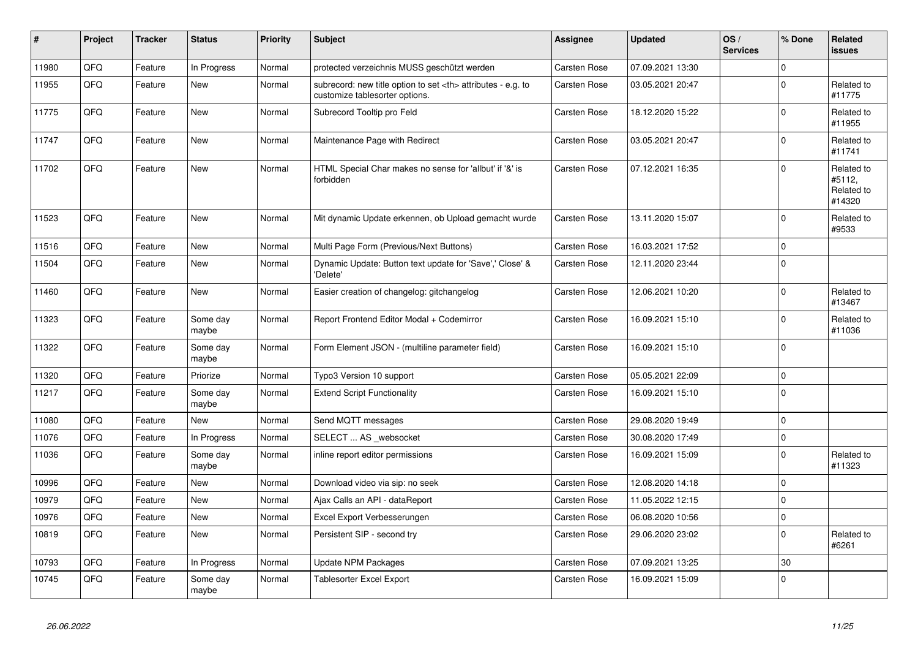| #     | Project | <b>Tracker</b> | <b>Status</b>     | <b>Priority</b> | <b>Subject</b>                                                                                       | Assignee                                               | <b>Updated</b>      | OS/<br><b>Services</b> | % Done      | Related<br><b>issues</b>                     |                      |
|-------|---------|----------------|-------------------|-----------------|------------------------------------------------------------------------------------------------------|--------------------------------------------------------|---------------------|------------------------|-------------|----------------------------------------------|----------------------|
| 11980 | QFQ     | Feature        | In Progress       | Normal          | protected verzeichnis MUSS geschützt werden                                                          | <b>Carsten Rose</b>                                    | 07.09.2021 13:30    |                        | $\Omega$    |                                              |                      |
| 11955 | QFQ     | Feature        | New               | Normal          | subrecord: new title option to set <th> attributes - e.g. to<br/>customize tablesorter options.</th> | attributes - e.g. to<br>customize tablesorter options. | <b>Carsten Rose</b> | 03.05.2021 20:47       |             | 0                                            | Related to<br>#11775 |
| 11775 | QFQ     | Feature        | <b>New</b>        | Normal          | Subrecord Tooltip pro Feld                                                                           | Carsten Rose                                           | 18.12.2020 15:22    |                        | $\Omega$    | Related to<br>#11955                         |                      |
| 11747 | QFQ     | Feature        | New               | Normal          | Maintenance Page with Redirect                                                                       | <b>Carsten Rose</b>                                    | 03.05.2021 20:47    |                        | 0           | Related to<br>#11741                         |                      |
| 11702 | QFQ     | Feature        | New               | Normal          | HTML Special Char makes no sense for 'allbut' if '&' is<br>forbidden                                 | <b>Carsten Rose</b>                                    | 07.12.2021 16:35    |                        | $\Omega$    | Related to<br>#5112.<br>Related to<br>#14320 |                      |
| 11523 | QFQ     | Feature        | New               | Normal          | Mit dynamic Update erkennen, ob Upload gemacht wurde                                                 | Carsten Rose                                           | 13.11.2020 15:07    |                        | $\pmb{0}$   | Related to<br>#9533                          |                      |
| 11516 | QFQ     | Feature        | New               | Normal          | Multi Page Form (Previous/Next Buttons)                                                              | <b>Carsten Rose</b>                                    | 16.03.2021 17:52    |                        | $\mathsf 0$ |                                              |                      |
| 11504 | QFQ     | Feature        | New               | Normal          | Dynamic Update: Button text update for 'Save',' Close' &<br>'Delete'                                 | <b>Carsten Rose</b>                                    | 12.11.2020 23:44    |                        | $\Omega$    |                                              |                      |
| 11460 | QFQ     | Feature        | <b>New</b>        | Normal          | Easier creation of changelog: gitchangelog                                                           | Carsten Rose                                           | 12.06.2021 10:20    |                        | 0           | Related to<br>#13467                         |                      |
| 11323 | QFQ     | Feature        | Some day<br>maybe | Normal          | Report Frontend Editor Modal + Codemirror                                                            | Carsten Rose                                           | 16.09.2021 15:10    |                        | 0           | Related to<br>#11036                         |                      |
| 11322 | QFQ     | Feature        | Some day<br>maybe | Normal          | Form Element JSON - (multiline parameter field)                                                      | Carsten Rose                                           | 16.09.2021 15:10    |                        | $\Omega$    |                                              |                      |
| 11320 | QFQ     | Feature        | Priorize          | Normal          | Typo3 Version 10 support                                                                             | Carsten Rose                                           | 05.05.2021 22:09    |                        | $\mathsf 0$ |                                              |                      |
| 11217 | QFQ     | Feature        | Some day<br>maybe | Normal          | <b>Extend Script Functionality</b>                                                                   | <b>Carsten Rose</b>                                    | 16.09.2021 15:10    |                        | $\mathbf 0$ |                                              |                      |
| 11080 | QFQ     | Feature        | <b>New</b>        | Normal          | Send MQTT messages                                                                                   | <b>Carsten Rose</b>                                    | 29.08.2020 19:49    |                        | 0           |                                              |                      |
| 11076 | QFQ     | Feature        | In Progress       | Normal          | SELECT  AS websocket                                                                                 | <b>Carsten Rose</b>                                    | 30.08.2020 17:49    |                        | 0           |                                              |                      |
| 11036 | QFQ     | Feature        | Some day<br>maybe | Normal          | inline report editor permissions                                                                     | Carsten Rose                                           | 16.09.2021 15:09    |                        | $\mathbf 0$ | Related to<br>#11323                         |                      |
| 10996 | QFQ     | Feature        | New               | Normal          | Download video via sip: no seek                                                                      | <b>Carsten Rose</b>                                    | 12.08.2020 14:18    |                        | 0           |                                              |                      |
| 10979 | QFQ     | Feature        | New               | Normal          | Ajax Calls an API - dataReport                                                                       | <b>Carsten Rose</b>                                    | 11.05.2022 12:15    |                        | $\mathbf 0$ |                                              |                      |
| 10976 | QFQ     | Feature        | <b>New</b>        | Normal          | Excel Export Verbesserungen                                                                          | Carsten Rose                                           | 06.08.2020 10:56    |                        | 0           |                                              |                      |
| 10819 | QFQ     | Feature        | New               | Normal          | Persistent SIP - second try                                                                          | Carsten Rose                                           | 29.06.2020 23:02    |                        | $\Omega$    | Related to<br>#6261                          |                      |
| 10793 | QFQ     | Feature        | In Progress       | Normal          | Update NPM Packages                                                                                  | <b>Carsten Rose</b>                                    | 07.09.2021 13:25    |                        | 30          |                                              |                      |
| 10745 | QFQ     | Feature        | Some day<br>maybe | Normal          | Tablesorter Excel Export                                                                             | Carsten Rose                                           | 16.09.2021 15:09    |                        | $\Omega$    |                                              |                      |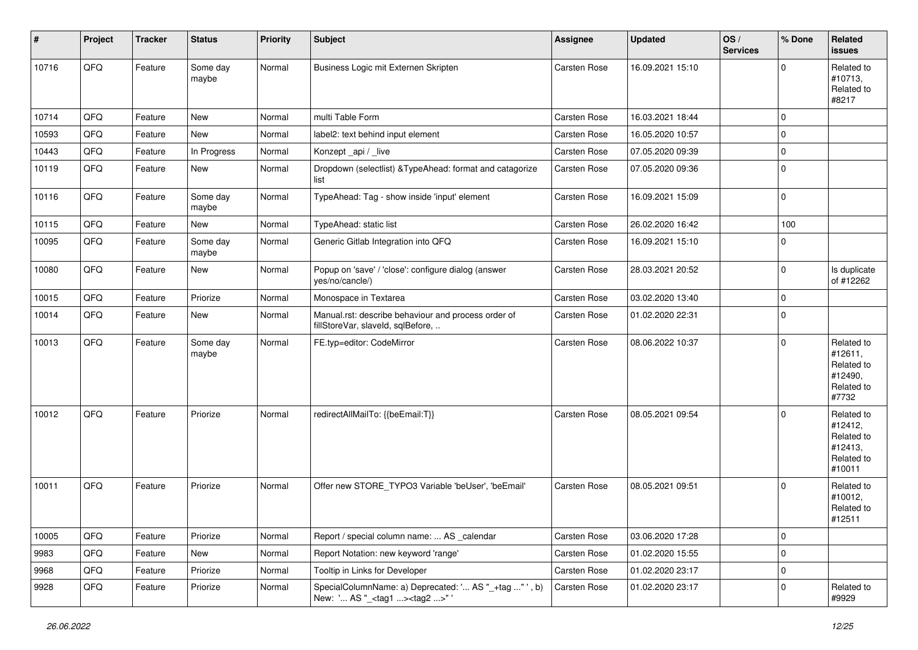| $\vert$ # | Project | <b>Tracker</b> | <b>Status</b>     | <b>Priority</b> | <b>Subject</b>                                                                                     | <b>Assignee</b>     | <b>Updated</b>   | OS/<br><b>Services</b> | % Done      | <b>Related</b><br><b>issues</b>                                        |
|-----------|---------|----------------|-------------------|-----------------|----------------------------------------------------------------------------------------------------|---------------------|------------------|------------------------|-------------|------------------------------------------------------------------------|
| 10716     | QFQ     | Feature        | Some day<br>maybe | Normal          | Business Logic mit Externen Skripten                                                               | Carsten Rose        | 16.09.2021 15:10 |                        | $\Omega$    | Related to<br>#10713,<br>Related to<br>#8217                           |
| 10714     | QFQ     | Feature        | New               | Normal          | multi Table Form                                                                                   | <b>Carsten Rose</b> | 16.03.2021 18:44 |                        | $\mathbf 0$ |                                                                        |
| 10593     | QFQ     | Feature        | New               | Normal          | label2: text behind input element                                                                  | Carsten Rose        | 16.05.2020 10:57 |                        | $\mathbf 0$ |                                                                        |
| 10443     | QFQ     | Feature        | In Progress       | Normal          | Konzept_api / _live                                                                                | Carsten Rose        | 07.05.2020 09:39 |                        | $\mathbf 0$ |                                                                        |
| 10119     | QFQ     | Feature        | New               | Normal          | Dropdown (selectlist) & TypeAhead: format and catagorize<br>list                                   | Carsten Rose        | 07.05.2020 09:36 |                        | $\mathbf 0$ |                                                                        |
| 10116     | QFQ     | Feature        | Some day<br>maybe | Normal          | TypeAhead: Tag - show inside 'input' element                                                       | Carsten Rose        | 16.09.2021 15:09 |                        | $\mathbf 0$ |                                                                        |
| 10115     | QFQ     | Feature        | <b>New</b>        | Normal          | TypeAhead: static list                                                                             | Carsten Rose        | 26.02.2020 16:42 |                        | 100         |                                                                        |
| 10095     | QFQ     | Feature        | Some day<br>maybe | Normal          | Generic Gitlab Integration into QFQ                                                                | Carsten Rose        | 16.09.2021 15:10 |                        | $\mathbf 0$ |                                                                        |
| 10080     | QFQ     | Feature        | New               | Normal          | Popup on 'save' / 'close': configure dialog (answer<br>yes/no/cancle/)                             | Carsten Rose        | 28.03.2021 20:52 |                        | $\mathbf 0$ | Is duplicate<br>of #12262                                              |
| 10015     | QFQ     | Feature        | Priorize          | Normal          | Monospace in Textarea                                                                              | <b>Carsten Rose</b> | 03.02.2020 13:40 |                        | $\mathbf 0$ |                                                                        |
| 10014     | QFQ     | Feature        | New               | Normal          | Manual.rst: describe behaviour and process order of<br>fillStoreVar, slaveId, sqlBefore,           | Carsten Rose        | 01.02.2020 22:31 |                        | $\mathbf 0$ |                                                                        |
| 10013     | QFQ     | Feature        | Some day<br>maybe | Normal          | FE.typ=editor: CodeMirror                                                                          | Carsten Rose        | 08.06.2022 10:37 |                        | $\mathbf 0$ | Related to<br>#12611,<br>Related to<br>#12490,<br>Related to<br>#7732  |
| 10012     | QFQ     | Feature        | Priorize          | Normal          | redirectAllMailTo: {{beEmail:T}}                                                                   | Carsten Rose        | 08.05.2021 09:54 |                        | $\mathbf 0$ | Related to<br>#12412,<br>Related to<br>#12413,<br>Related to<br>#10011 |
| 10011     | QFQ     | Feature        | Priorize          | Normal          | Offer new STORE_TYPO3 Variable 'beUser', 'beEmail'                                                 | <b>Carsten Rose</b> | 08.05.2021 09:51 |                        | $\mathbf 0$ | Related to<br>#10012,<br>Related to<br>#12511                          |
| 10005     | QFQ     | Feature        | Priorize          | Normal          | Report / special column name:  AS _calendar                                                        | Carsten Rose        | 03.06.2020 17:28 |                        | $\mathbf 0$ |                                                                        |
| 9983      | QFQ     | Feature        | New               | Normal          | Report Notation: new keyword 'range'                                                               | Carsten Rose        | 01.02.2020 15:55 |                        | $\mathbf 0$ |                                                                        |
| 9968      | QFQ     | Feature        | Priorize          | Normal          | Tooltip in Links for Developer                                                                     | Carsten Rose        | 01.02.2020 23:17 |                        | $\mathbf 0$ |                                                                        |
| 9928      | QFQ     | Feature        | Priorize          | Normal          | SpecialColumnName: a) Deprecated: ' AS "_+tag " ', b)<br>New: ' AS "_ <tag1><tag2>"'</tag2></tag1> | Carsten Rose        | 01.02.2020 23:17 |                        | $\mathbf 0$ | Related to<br>#9929                                                    |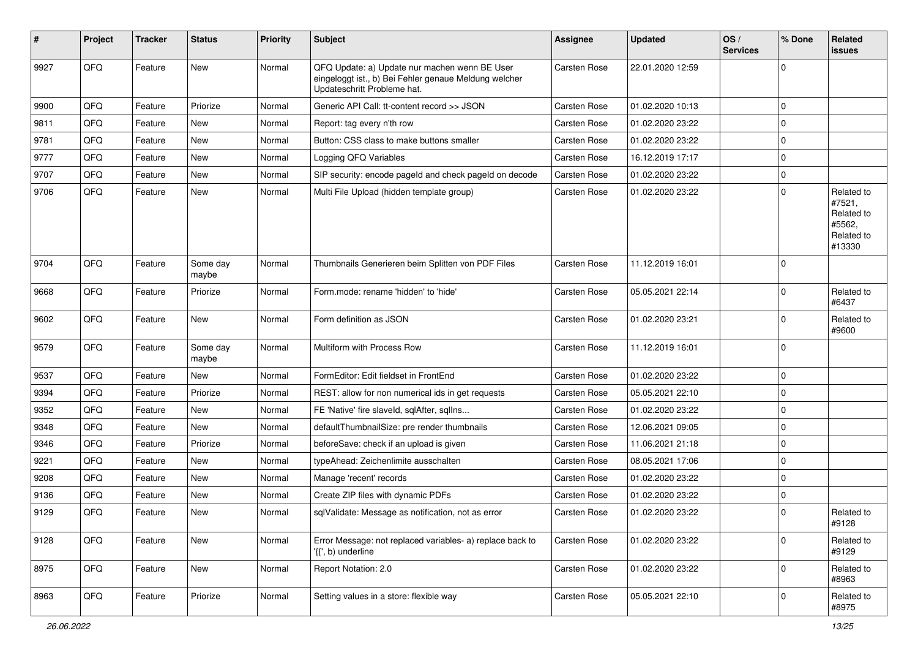| ∦    | Project | <b>Tracker</b> | <b>Status</b>     | <b>Priority</b> | Subject                                                                                                                               | <b>Assignee</b> | <b>Updated</b>   | OS/<br><b>Services</b> | % Done      | Related<br><b>issues</b>                                             |
|------|---------|----------------|-------------------|-----------------|---------------------------------------------------------------------------------------------------------------------------------------|-----------------|------------------|------------------------|-------------|----------------------------------------------------------------------|
| 9927 | QFQ     | Feature        | <b>New</b>        | Normal          | QFQ Update: a) Update nur machen wenn BE User<br>eingeloggt ist., b) Bei Fehler genaue Meldung welcher<br>Updateschritt Probleme hat. | Carsten Rose    | 22.01.2020 12:59 |                        | $\mathbf 0$ |                                                                      |
| 9900 | QFQ     | Feature        | Priorize          | Normal          | Generic API Call: tt-content record >> JSON                                                                                           | Carsten Rose    | 01.02.2020 10:13 |                        | $\mathbf 0$ |                                                                      |
| 9811 | QFQ     | Feature        | New               | Normal          | Report: tag every n'th row                                                                                                            | Carsten Rose    | 01.02.2020 23:22 |                        | $\mathbf 0$ |                                                                      |
| 9781 | QFQ     | Feature        | New               | Normal          | Button: CSS class to make buttons smaller                                                                                             | Carsten Rose    | 01.02.2020 23:22 |                        | $\mathbf 0$ |                                                                      |
| 9777 | QFQ     | Feature        | New               | Normal          | Logging QFQ Variables                                                                                                                 | Carsten Rose    | 16.12.2019 17:17 |                        | $\mathbf 0$ |                                                                      |
| 9707 | QFQ     | Feature        | <b>New</b>        | Normal          | SIP security: encode pageld and check pageld on decode                                                                                | Carsten Rose    | 01.02.2020 23:22 |                        | $\mathbf 0$ |                                                                      |
| 9706 | QFQ     | Feature        | New               | Normal          | Multi File Upload (hidden template group)                                                                                             | Carsten Rose    | 01.02.2020 23:22 |                        | $\mathbf 0$ | Related to<br>#7521,<br>Related to<br>#5562,<br>Related to<br>#13330 |
| 9704 | QFQ     | Feature        | Some day<br>maybe | Normal          | Thumbnails Generieren beim Splitten von PDF Files                                                                                     | Carsten Rose    | 11.12.2019 16:01 |                        | $\mathbf 0$ |                                                                      |
| 9668 | QFQ     | Feature        | Priorize          | Normal          | Form.mode: rename 'hidden' to 'hide'                                                                                                  | Carsten Rose    | 05.05.2021 22:14 |                        | $\mathbf 0$ | Related to<br>#6437                                                  |
| 9602 | QFQ     | Feature        | <b>New</b>        | Normal          | Form definition as JSON                                                                                                               | Carsten Rose    | 01.02.2020 23:21 |                        | $\mathbf 0$ | Related to<br>#9600                                                  |
| 9579 | QFQ     | Feature        | Some day<br>maybe | Normal          | Multiform with Process Row                                                                                                            | Carsten Rose    | 11.12.2019 16:01 |                        | $\mathbf 0$ |                                                                      |
| 9537 | QFQ     | Feature        | <b>New</b>        | Normal          | FormEditor: Edit fieldset in FrontEnd                                                                                                 | Carsten Rose    | 01.02.2020 23:22 |                        | $\mathbf 0$ |                                                                      |
| 9394 | QFQ     | Feature        | Priorize          | Normal          | REST: allow for non numerical ids in get requests                                                                                     | Carsten Rose    | 05.05.2021 22:10 |                        | $\mathbf 0$ |                                                                      |
| 9352 | QFQ     | Feature        | New               | Normal          | FE 'Native' fire slaveld, sqlAfter, sqlIns                                                                                            | Carsten Rose    | 01.02.2020 23:22 |                        | $\mathbf 0$ |                                                                      |
| 9348 | QFQ     | Feature        | New               | Normal          | defaultThumbnailSize: pre render thumbnails                                                                                           | Carsten Rose    | 12.06.2021 09:05 |                        | $\mathbf 0$ |                                                                      |
| 9346 | QFQ     | Feature        | Priorize          | Normal          | beforeSave: check if an upload is given                                                                                               | Carsten Rose    | 11.06.2021 21:18 |                        | $\mathbf 0$ |                                                                      |
| 9221 | QFQ     | Feature        | New               | Normal          | typeAhead: Zeichenlimite ausschalten                                                                                                  | Carsten Rose    | 08.05.2021 17:06 |                        | $\mathbf 0$ |                                                                      |
| 9208 | QFQ     | Feature        | New               | Normal          | Manage 'recent' records                                                                                                               | Carsten Rose    | 01.02.2020 23:22 |                        | $\mathbf 0$ |                                                                      |
| 9136 | QFQ     | Feature        | New               | Normal          | Create ZIP files with dynamic PDFs                                                                                                    | Carsten Rose    | 01.02.2020 23:22 |                        | $\mathbf 0$ |                                                                      |
| 9129 | QFQ     | Feature        | New               | Normal          | sqlValidate: Message as notification, not as error                                                                                    | Carsten Rose    | 01.02.2020 23:22 |                        | $\mathbf 0$ | Related to<br>#9128                                                  |
| 9128 | QFQ     | Feature        | New               | Normal          | Error Message: not replaced variables- a) replace back to<br>'{{', b) underline                                                       | Carsten Rose    | 01.02.2020 23:22 |                        | $\pmb{0}$   | Related to<br>#9129                                                  |
| 8975 | QFQ     | Feature        | New               | Normal          | Report Notation: 2.0                                                                                                                  | Carsten Rose    | 01.02.2020 23:22 |                        | $\mathbf 0$ | Related to<br>#8963                                                  |
| 8963 | QFQ     | Feature        | Priorize          | Normal          | Setting values in a store: flexible way                                                                                               | Carsten Rose    | 05.05.2021 22:10 |                        | $\mathbf 0$ | Related to<br>#8975                                                  |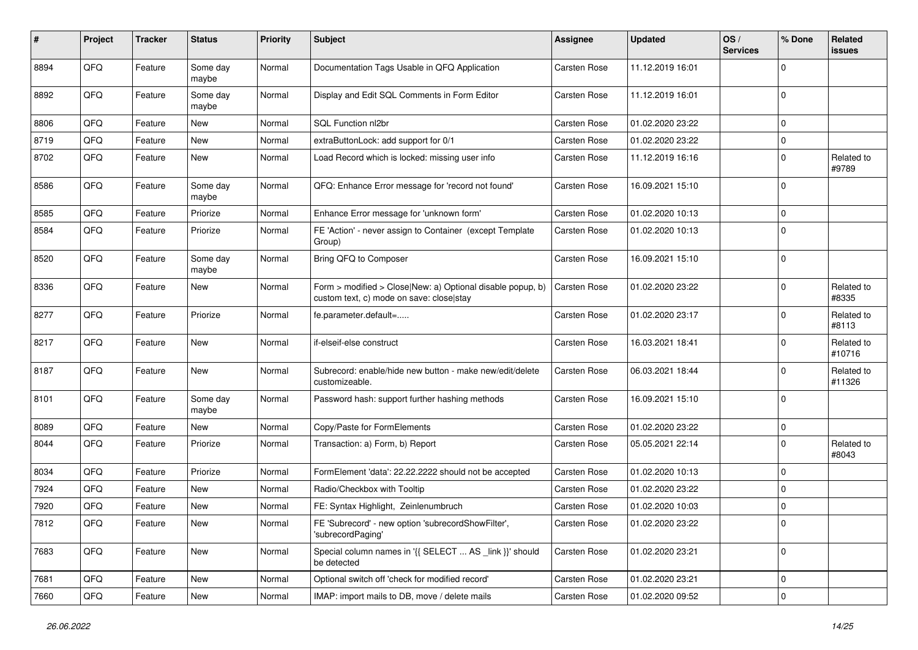| #    | Project | <b>Tracker</b> | <b>Status</b>     | <b>Priority</b> | <b>Subject</b>                                                                                         | <b>Assignee</b>     | <b>Updated</b>   | OS/<br><b>Services</b> | % Done      | Related<br><b>issues</b> |
|------|---------|----------------|-------------------|-----------------|--------------------------------------------------------------------------------------------------------|---------------------|------------------|------------------------|-------------|--------------------------|
| 8894 | QFQ     | Feature        | Some day<br>maybe | Normal          | Documentation Tags Usable in QFQ Application                                                           | Carsten Rose        | 11.12.2019 16:01 |                        | $\mathbf 0$ |                          |
| 8892 | QFQ     | Feature        | Some day<br>maybe | Normal          | Display and Edit SQL Comments in Form Editor                                                           | <b>Carsten Rose</b> | 11.12.2019 16:01 |                        | $\mathbf 0$ |                          |
| 8806 | QFQ     | Feature        | New               | Normal          | SQL Function nl2br                                                                                     | <b>Carsten Rose</b> | 01.02.2020 23:22 |                        | $\mathbf 0$ |                          |
| 8719 | QFQ     | Feature        | New               | Normal          | extraButtonLock: add support for 0/1                                                                   | Carsten Rose        | 01.02.2020 23:22 |                        | $\mathbf 0$ |                          |
| 8702 | QFQ     | Feature        | New               | Normal          | Load Record which is locked: missing user info                                                         | <b>Carsten Rose</b> | 11.12.2019 16:16 |                        | $\mathbf 0$ | Related to<br>#9789      |
| 8586 | QFQ     | Feature        | Some day<br>maybe | Normal          | QFQ: Enhance Error message for 'record not found'                                                      | <b>Carsten Rose</b> | 16.09.2021 15:10 |                        | $\mathbf 0$ |                          |
| 8585 | QFQ     | Feature        | Priorize          | Normal          | Enhance Error message for 'unknown form'                                                               | <b>Carsten Rose</b> | 01.02.2020 10:13 |                        | $\mathbf 0$ |                          |
| 8584 | QFQ     | Feature        | Priorize          | Normal          | FE 'Action' - never assign to Container (except Template<br>Group)                                     | Carsten Rose        | 01.02.2020 10:13 |                        | $\mathbf 0$ |                          |
| 8520 | QFQ     | Feature        | Some day<br>maybe | Normal          | Bring QFQ to Composer                                                                                  | <b>Carsten Rose</b> | 16.09.2021 15:10 |                        | $\mathbf 0$ |                          |
| 8336 | QFQ     | Feature        | New               | Normal          | Form > modified > Close New: a) Optional disable popup, b)<br>custom text, c) mode on save: close stay | <b>Carsten Rose</b> | 01.02.2020 23:22 |                        | $\mathbf 0$ | Related to<br>#8335      |
| 8277 | QFQ     | Feature        | Priorize          | Normal          | fe.parameter.default=                                                                                  | <b>Carsten Rose</b> | 01.02.2020 23:17 |                        | $\mathbf 0$ | Related to<br>#8113      |
| 8217 | QFQ     | Feature        | New               | Normal          | if-elseif-else construct                                                                               | <b>Carsten Rose</b> | 16.03.2021 18:41 |                        | $\mathbf 0$ | Related to<br>#10716     |
| 8187 | QFQ     | Feature        | New               | Normal          | Subrecord: enable/hide new button - make new/edit/delete<br>customizeable.                             | <b>Carsten Rose</b> | 06.03.2021 18:44 |                        | $\mathbf 0$ | Related to<br>#11326     |
| 8101 | QFQ     | Feature        | Some day<br>maybe | Normal          | Password hash: support further hashing methods                                                         | Carsten Rose        | 16.09.2021 15:10 |                        | $\Omega$    |                          |
| 8089 | QFQ     | Feature        | New               | Normal          | Copy/Paste for FormElements                                                                            | <b>Carsten Rose</b> | 01.02.2020 23:22 |                        | $\mathbf 0$ |                          |
| 8044 | QFQ     | Feature        | Priorize          | Normal          | Transaction: a) Form, b) Report                                                                        | Carsten Rose        | 05.05.2021 22:14 |                        | $\mathbf 0$ | Related to<br>#8043      |
| 8034 | QFQ     | Feature        | Priorize          | Normal          | FormElement 'data': 22.22.2222 should not be accepted                                                  | <b>Carsten Rose</b> | 01.02.2020 10:13 |                        | $\mathbf 0$ |                          |
| 7924 | QFQ     | Feature        | New               | Normal          | Radio/Checkbox with Tooltip                                                                            | <b>Carsten Rose</b> | 01.02.2020 23:22 |                        | $\mathbf 0$ |                          |
| 7920 | QFQ     | Feature        | New               | Normal          | FE: Syntax Highlight, Zeinlenumbruch                                                                   | Carsten Rose        | 01.02.2020 10:03 |                        | $\mathbf 0$ |                          |
| 7812 | QFQ     | Feature        | New               | Normal          | FE 'Subrecord' - new option 'subrecordShowFilter',<br>'subrecordPaging'                                | Carsten Rose        | 01.02.2020 23:22 |                        | 0           |                          |
| 7683 | QFQ     | Feature        | New               | Normal          | Special column names in '{{ SELECT  AS _link }}' should<br>be detected                                 | Carsten Rose        | 01.02.2020 23:21 |                        | $\mathbf 0$ |                          |
| 7681 | QFQ     | Feature        | New               | Normal          | Optional switch off 'check for modified record'                                                        | Carsten Rose        | 01.02.2020 23:21 |                        | $\mathbf 0$ |                          |
| 7660 | QFQ     | Feature        | New               | Normal          | IMAP: import mails to DB, move / delete mails                                                          | Carsten Rose        | 01.02.2020 09:52 |                        | $\mathbf 0$ |                          |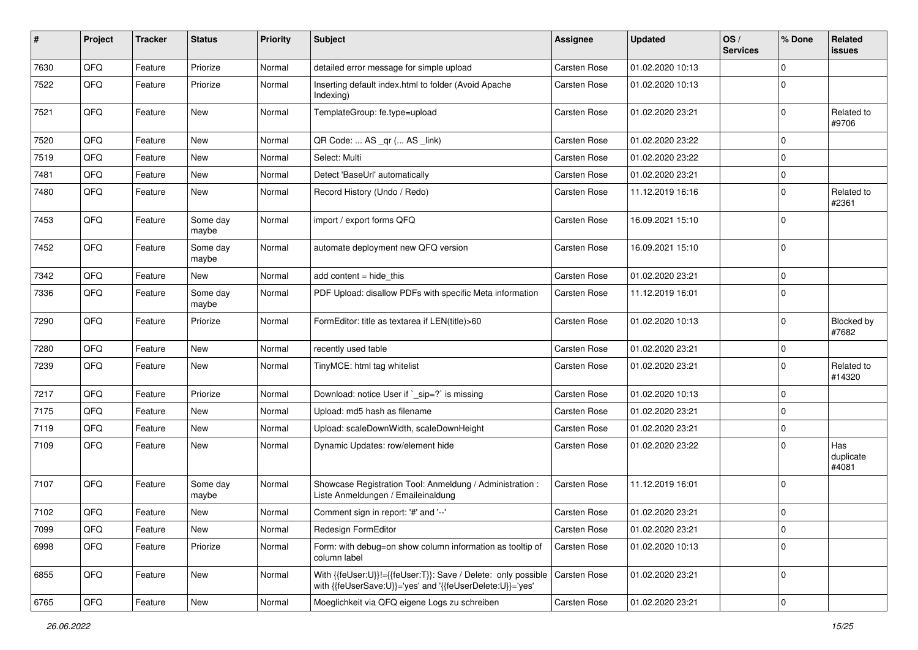| #    | Project | <b>Tracker</b> | <b>Status</b>     | <b>Priority</b> | Subject                                                                                                                    | <b>Assignee</b>     | <b>Updated</b>   | OS/<br><b>Services</b> | % Done      | Related<br>issues         |
|------|---------|----------------|-------------------|-----------------|----------------------------------------------------------------------------------------------------------------------------|---------------------|------------------|------------------------|-------------|---------------------------|
| 7630 | QFQ     | Feature        | Priorize          | Normal          | detailed error message for simple upload                                                                                   | Carsten Rose        | 01.02.2020 10:13 |                        | $\mathbf 0$ |                           |
| 7522 | QFQ     | Feature        | Priorize          | Normal          | Inserting default index.html to folder (Avoid Apache<br>Indexing)                                                          | Carsten Rose        | 01.02.2020 10:13 |                        | $\mathbf 0$ |                           |
| 7521 | QFQ     | Feature        | New               | Normal          | TemplateGroup: fe.type=upload                                                                                              | <b>Carsten Rose</b> | 01.02.2020 23:21 |                        | $\mathbf 0$ | Related to<br>#9706       |
| 7520 | QFQ     | Feature        | <b>New</b>        | Normal          | QR Code:  AS _qr ( AS _link)                                                                                               | <b>Carsten Rose</b> | 01.02.2020 23:22 |                        | $\mathbf 0$ |                           |
| 7519 | QFQ     | Feature        | New               | Normal          | Select: Multi                                                                                                              | <b>Carsten Rose</b> | 01.02.2020 23:22 |                        | $\mathbf 0$ |                           |
| 7481 | QFQ     | Feature        | New               | Normal          | Detect 'BaseUrl' automatically                                                                                             | <b>Carsten Rose</b> | 01.02.2020 23:21 |                        | $\mathbf 0$ |                           |
| 7480 | QFQ     | Feature        | New               | Normal          | Record History (Undo / Redo)                                                                                               | <b>Carsten Rose</b> | 11.12.2019 16:16 |                        | $\mathbf 0$ | Related to<br>#2361       |
| 7453 | QFQ     | Feature        | Some day<br>maybe | Normal          | import / export forms QFQ                                                                                                  | <b>Carsten Rose</b> | 16.09.2021 15:10 |                        | $\mathbf 0$ |                           |
| 7452 | QFQ     | Feature        | Some day<br>maybe | Normal          | automate deployment new QFQ version                                                                                        | <b>Carsten Rose</b> | 16.09.2021 15:10 |                        | $\mathbf 0$ |                           |
| 7342 | QFQ     | Feature        | New               | Normal          | add content = hide_this                                                                                                    | <b>Carsten Rose</b> | 01.02.2020 23:21 |                        | $\mathbf 0$ |                           |
| 7336 | QFQ     | Feature        | Some day<br>maybe | Normal          | PDF Upload: disallow PDFs with specific Meta information                                                                   | Carsten Rose        | 11.12.2019 16:01 |                        | $\mathbf 0$ |                           |
| 7290 | QFQ     | Feature        | Priorize          | Normal          | FormEditor: title as textarea if LEN(title)>60                                                                             | Carsten Rose        | 01.02.2020 10:13 |                        | $\mathbf 0$ | Blocked by<br>#7682       |
| 7280 | QFQ     | Feature        | New               | Normal          | recently used table                                                                                                        | <b>Carsten Rose</b> | 01.02.2020 23:21 |                        | $\mathbf 0$ |                           |
| 7239 | QFQ     | Feature        | New               | Normal          | TinyMCE: html tag whitelist                                                                                                | Carsten Rose        | 01.02.2020 23:21 |                        | $\mathbf 0$ | Related to<br>#14320      |
| 7217 | QFQ     | Feature        | Priorize          | Normal          | Download: notice User if `_sip=?` is missing                                                                               | <b>Carsten Rose</b> | 01.02.2020 10:13 |                        | $\mathbf 0$ |                           |
| 7175 | QFQ     | Feature        | New               | Normal          | Upload: md5 hash as filename                                                                                               | <b>Carsten Rose</b> | 01.02.2020 23:21 |                        | $\mathbf 0$ |                           |
| 7119 | QFQ     | Feature        | New               | Normal          | Upload: scaleDownWidth, scaleDownHeight                                                                                    | Carsten Rose        | 01.02.2020 23:21 |                        | $\mathbf 0$ |                           |
| 7109 | QFQ     | Feature        | New               | Normal          | Dynamic Updates: row/element hide                                                                                          | Carsten Rose        | 01.02.2020 23:22 |                        | $\mathbf 0$ | Has<br>duplicate<br>#4081 |
| 7107 | QFQ     | Feature        | Some day<br>maybe | Normal          | Showcase Registration Tool: Anmeldung / Administration :<br>Liste Anmeldungen / Emaileinaldung                             | Carsten Rose        | 11.12.2019 16:01 |                        | 0           |                           |
| 7102 | QFQ     | Feature        | New               | Normal          | Comment sign in report: '#' and '--'                                                                                       | Carsten Rose        | 01.02.2020 23:21 |                        | 0           |                           |
| 7099 | QFQ     | Feature        | New               | Normal          | Redesign FormEditor                                                                                                        | Carsten Rose        | 01.02.2020 23:21 |                        | 0           |                           |
| 6998 | QFQ     | Feature        | Priorize          | Normal          | Form: with debug=on show column information as tooltip of<br>column label                                                  | Carsten Rose        | 01.02.2020 10:13 |                        | $\mathbf 0$ |                           |
| 6855 | QFQ     | Feature        | New               | Normal          | With {{feUser:U}}!={{feUser:T}}: Save / Delete: only possible<br>with {{feUserSave:U}}='yes' and '{{feUserDelete:U}}='yes' | <b>Carsten Rose</b> | 01.02.2020 23:21 |                        | 0           |                           |
| 6765 | QFG     | Feature        | New               | Normal          | Moeglichkeit via QFQ eigene Logs zu schreiben                                                                              | Carsten Rose        | 01.02.2020 23:21 |                        | 0           |                           |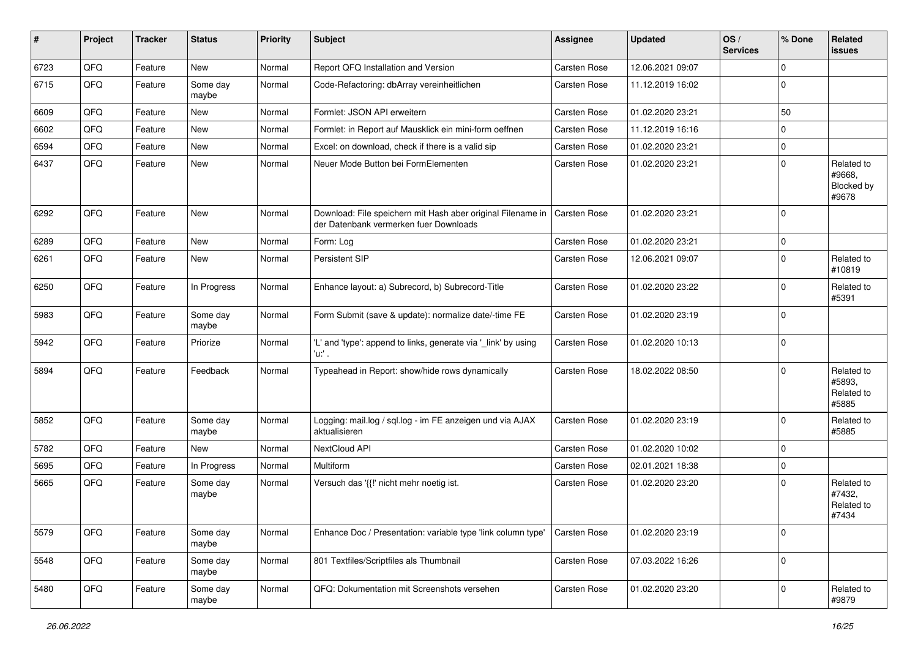| ∦    | Project | <b>Tracker</b> | <b>Status</b>     | <b>Priority</b> | <b>Subject</b>                                                                                        | Assignee            | Updated          | OS/<br><b>Services</b> | % Done      | Related<br><b>issues</b>                    |
|------|---------|----------------|-------------------|-----------------|-------------------------------------------------------------------------------------------------------|---------------------|------------------|------------------------|-------------|---------------------------------------------|
| 6723 | QFQ     | Feature        | New               | Normal          | Report QFQ Installation and Version                                                                   | Carsten Rose        | 12.06.2021 09:07 |                        | $\Omega$    |                                             |
| 6715 | QFQ     | Feature        | Some day<br>maybe | Normal          | Code-Refactoring: dbArray vereinheitlichen                                                            | Carsten Rose        | 11.12.2019 16:02 |                        | $\Omega$    |                                             |
| 6609 | QFQ     | Feature        | New               | Normal          | Formlet: JSON API erweitern                                                                           | Carsten Rose        | 01.02.2020 23:21 |                        | 50          |                                             |
| 6602 | QFQ     | Feature        | New               | Normal          | Formlet: in Report auf Mausklick ein mini-form oeffnen                                                | Carsten Rose        | 11.12.2019 16:16 |                        | $\mathbf 0$ |                                             |
| 6594 | QFQ     | Feature        | New               | Normal          | Excel: on download, check if there is a valid sip                                                     | Carsten Rose        | 01.02.2020 23:21 |                        | $\Omega$    |                                             |
| 6437 | QFQ     | Feature        | New               | Normal          | Neuer Mode Button bei FormElementen                                                                   | <b>Carsten Rose</b> | 01.02.2020 23:21 |                        | $\Omega$    | Related to<br>#9668,<br>Blocked by<br>#9678 |
| 6292 | QFQ     | Feature        | New               | Normal          | Download: File speichern mit Hash aber original Filename in<br>der Datenbank vermerken fuer Downloads | <b>Carsten Rose</b> | 01.02.2020 23:21 |                        | $\Omega$    |                                             |
| 6289 | QFQ     | Feature        | <b>New</b>        | Normal          | Form: Log                                                                                             | <b>Carsten Rose</b> | 01.02.2020 23:21 |                        | $\mathbf 0$ |                                             |
| 6261 | QFQ     | Feature        | New               | Normal          | Persistent SIP                                                                                        | <b>Carsten Rose</b> | 12.06.2021 09:07 |                        | $\Omega$    | Related to<br>#10819                        |
| 6250 | QFQ     | Feature        | In Progress       | Normal          | Enhance layout: a) Subrecord, b) Subrecord-Title                                                      | Carsten Rose        | 01.02.2020 23:22 |                        | $\Omega$    | Related to<br>#5391                         |
| 5983 | QFQ     | Feature        | Some day<br>maybe | Normal          | Form Submit (save & update): normalize date/-time FE                                                  | <b>Carsten Rose</b> | 01.02.2020 23:19 |                        | $\Omega$    |                                             |
| 5942 | QFQ     | Feature        | Priorize          | Normal          | 'L' and 'type': append to links, generate via '_link' by using<br>'u:' .                              | Carsten Rose        | 01.02.2020 10:13 |                        | $\Omega$    |                                             |
| 5894 | QFQ     | Feature        | Feedback          | Normal          | Typeahead in Report: show/hide rows dynamically                                                       | <b>Carsten Rose</b> | 18.02.2022 08:50 |                        | $\Omega$    | Related to<br>#5893,<br>Related to<br>#5885 |
| 5852 | QFQ     | Feature        | Some day<br>maybe | Normal          | Logging: mail.log / sql.log - im FE anzeigen und via AJAX<br>aktualisieren                            | <b>Carsten Rose</b> | 01.02.2020 23:19 |                        | $\Omega$    | Related to<br>#5885                         |
| 5782 | QFQ     | Feature        | New               | Normal          | NextCloud API                                                                                         | <b>Carsten Rose</b> | 01.02.2020 10:02 |                        | $\mathbf 0$ |                                             |
| 5695 | QFQ     | Feature        | In Progress       | Normal          | Multiform                                                                                             | <b>Carsten Rose</b> | 02.01.2021 18:38 |                        | $\Omega$    |                                             |
| 5665 | QFQ     | Feature        | Some day<br>maybe | Normal          | Versuch das '{{!' nicht mehr noetig ist.                                                              | Carsten Rose        | 01.02.2020 23:20 |                        | $\Omega$    | Related to<br>#7432,<br>Related to<br>#7434 |
| 5579 | QFQ     | Feature        | Some day<br>maybe | Normal          | Enhance Doc / Presentation: variable type 'link column type'                                          | Carsten Rose        | 01.02.2020 23:19 |                        | $\mathbf 0$ |                                             |
| 5548 | QFQ     | Feature        | Some day<br>maybe | Normal          | 801 Textfiles/Scriptfiles als Thumbnail                                                               | Carsten Rose        | 07.03.2022 16:26 |                        | $\Omega$    |                                             |
| 5480 | QFQ     | Feature        | Some day<br>maybe | Normal          | QFQ: Dokumentation mit Screenshots versehen                                                           | Carsten Rose        | 01.02.2020 23:20 |                        | 0           | Related to<br>#9879                         |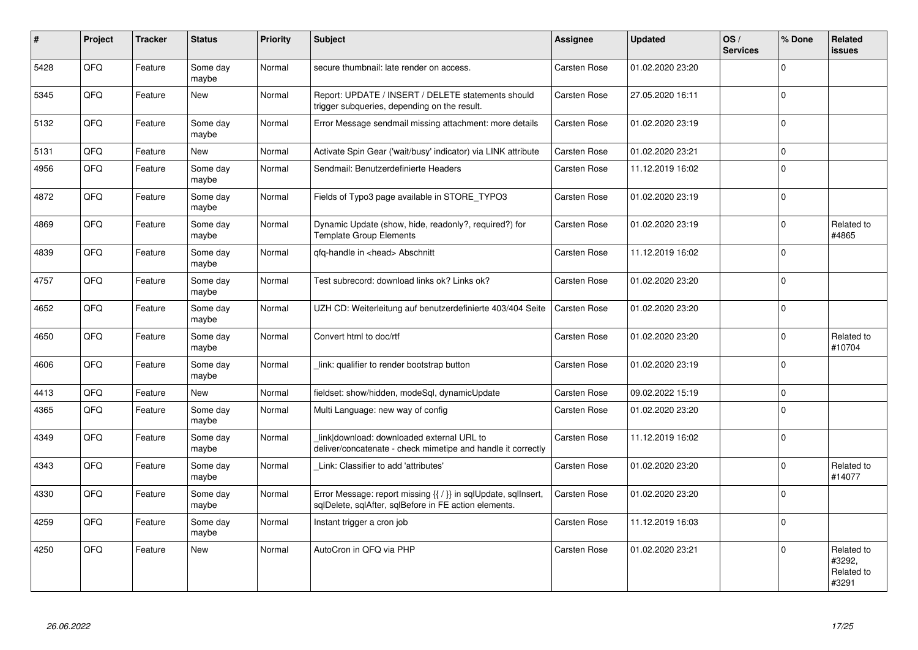| #    | Project | <b>Tracker</b> | <b>Status</b>     | <b>Priority</b> | <b>Subject</b>                                                                                                          | <b>Assignee</b>     | <b>Updated</b>   | OS/<br><b>Services</b> | % Done      | Related<br><b>issues</b>                    |
|------|---------|----------------|-------------------|-----------------|-------------------------------------------------------------------------------------------------------------------------|---------------------|------------------|------------------------|-------------|---------------------------------------------|
| 5428 | QFQ     | Feature        | Some day<br>maybe | Normal          | secure thumbnail: late render on access.                                                                                | Carsten Rose        | 01.02.2020 23:20 |                        | $\Omega$    |                                             |
| 5345 | QFQ     | Feature        | New               | Normal          | Report: UPDATE / INSERT / DELETE statements should<br>trigger subqueries, depending on the result.                      | Carsten Rose        | 27.05.2020 16:11 |                        | $\Omega$    |                                             |
| 5132 | QFQ     | Feature        | Some day<br>maybe | Normal          | Error Message sendmail missing attachment: more details                                                                 | Carsten Rose        | 01.02.2020 23:19 |                        | $\mathbf 0$ |                                             |
| 5131 | OFO.    | Feature        | New               | Normal          | Activate Spin Gear ('wait/busy' indicator) via LINK attribute                                                           | Carsten Rose        | 01.02.2020 23:21 |                        | $\Omega$    |                                             |
| 4956 | QFQ     | Feature        | Some day<br>maybe | Normal          | Sendmail: Benutzerdefinierte Headers                                                                                    | Carsten Rose        | 11.12.2019 16:02 |                        | $\mathbf 0$ |                                             |
| 4872 | QFQ     | Feature        | Some day<br>maybe | Normal          | Fields of Typo3 page available in STORE_TYPO3                                                                           | Carsten Rose        | 01.02.2020 23:19 |                        | $\Omega$    |                                             |
| 4869 | QFQ     | Feature        | Some day<br>maybe | Normal          | Dynamic Update (show, hide, readonly?, required?) for<br><b>Template Group Elements</b>                                 | Carsten Rose        | 01.02.2020 23:19 |                        | $\Omega$    | Related to<br>#4865                         |
| 4839 | QFQ     | Feature        | Some day<br>maybe | Normal          | qfq-handle in <head> Abschnitt</head>                                                                                   | Carsten Rose        | 11.12.2019 16:02 |                        | $\Omega$    |                                             |
| 4757 | QFQ     | Feature        | Some day<br>maybe | Normal          | Test subrecord: download links ok? Links ok?                                                                            | Carsten Rose        | 01.02.2020 23:20 |                        | $\mathbf 0$ |                                             |
| 4652 | QFQ     | Feature        | Some day<br>maybe | Normal          | UZH CD: Weiterleitung auf benutzerdefinierte 403/404 Seite                                                              | <b>Carsten Rose</b> | 01.02.2020 23:20 |                        | $\Omega$    |                                             |
| 4650 | QFQ     | Feature        | Some day<br>maybe | Normal          | Convert html to doc/rtf                                                                                                 | Carsten Rose        | 01.02.2020 23:20 |                        | $\Omega$    | Related to<br>#10704                        |
| 4606 | QFQ     | Feature        | Some day<br>maybe | Normal          | link: qualifier to render bootstrap button                                                                              | Carsten Rose        | 01.02.2020 23:19 |                        | $\mathbf 0$ |                                             |
| 4413 | QFQ     | Feature        | New               | Normal          | fieldset: show/hidden, modeSql, dynamicUpdate                                                                           | Carsten Rose        | 09.02.2022 15:19 |                        | $\mathbf 0$ |                                             |
| 4365 | QFQ     | Feature        | Some day<br>maybe | Normal          | Multi Language: new way of config                                                                                       | Carsten Rose        | 01.02.2020 23:20 |                        | $\mathbf 0$ |                                             |
| 4349 | QFQ     | Feature        | Some day<br>maybe | Normal          | link download: downloaded external URL to<br>deliver/concatenate - check mimetipe and handle it correctly               | Carsten Rose        | 11.12.2019 16:02 |                        | $\mathbf 0$ |                                             |
| 4343 | QFQ     | Feature        | Some day<br>maybe | Normal          | Link: Classifier to add 'attributes'                                                                                    | Carsten Rose        | 01.02.2020 23:20 |                        | $\Omega$    | Related to<br>#14077                        |
| 4330 | QFQ     | Feature        | Some day<br>maybe | Normal          | Error Message: report missing {{ / }} in sqlUpdate, sqlInsert,<br>sqlDelete, sqlAfter, sqlBefore in FE action elements. | Carsten Rose        | 01.02.2020 23:20 |                        | $\mathbf 0$ |                                             |
| 4259 | QFQ     | Feature        | Some day<br>maybe | Normal          | Instant trigger a cron job                                                                                              | Carsten Rose        | 11.12.2019 16:03 |                        | $\mathbf 0$ |                                             |
| 4250 | QFQ     | Feature        | New               | Normal          | AutoCron in QFQ via PHP                                                                                                 | Carsten Rose        | 01.02.2020 23:21 |                        | $\Omega$    | Related to<br>#3292,<br>Related to<br>#3291 |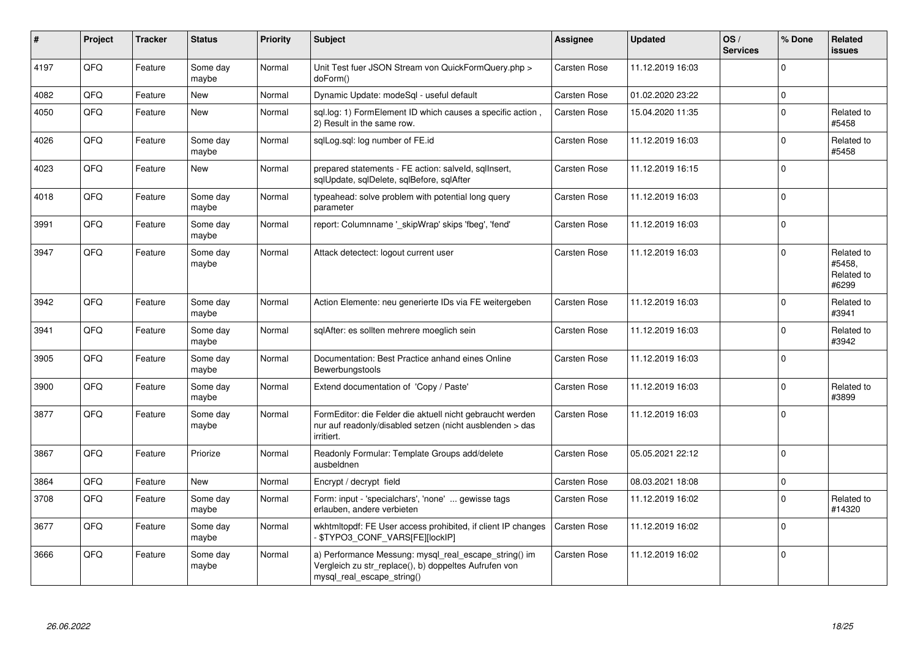| $\vert$ # | Project | <b>Tracker</b> | <b>Status</b>     | <b>Priority</b> | <b>Subject</b>                                                                                                                               | Assignee            | <b>Updated</b>   | OS/<br><b>Services</b> | % Done      | Related<br><b>issues</b>                    |
|-----------|---------|----------------|-------------------|-----------------|----------------------------------------------------------------------------------------------------------------------------------------------|---------------------|------------------|------------------------|-------------|---------------------------------------------|
| 4197      | QFQ     | Feature        | Some day<br>maybe | Normal          | Unit Test fuer JSON Stream von QuickFormQuery.php ><br>doForm()                                                                              | Carsten Rose        | 11.12.2019 16:03 |                        | $\Omega$    |                                             |
| 4082      | QFQ     | Feature        | New               | Normal          | Dynamic Update: modeSql - useful default                                                                                                     | Carsten Rose        | 01.02.2020 23:22 |                        | $\mathbf 0$ |                                             |
| 4050      | QFQ     | Feature        | <b>New</b>        | Normal          | sql.log: 1) FormElement ID which causes a specific action,<br>2) Result in the same row.                                                     | Carsten Rose        | 15.04.2020 11:35 |                        | $\mathbf 0$ | Related to<br>#5458                         |
| 4026      | QFQ     | Feature        | Some day<br>maybe | Normal          | sglLog.sgl: log number of FE.id                                                                                                              | Carsten Rose        | 11.12.2019 16:03 |                        | $\mathbf 0$ | Related to<br>#5458                         |
| 4023      | QFQ     | Feature        | <b>New</b>        | Normal          | prepared statements - FE action: salveld, sqllnsert,<br>sglUpdate, sglDelete, sglBefore, sglAfter                                            | Carsten Rose        | 11.12.2019 16:15 |                        | $\mathbf 0$ |                                             |
| 4018      | QFQ     | Feature        | Some day<br>maybe | Normal          | typeahead: solve problem with potential long query<br>parameter                                                                              | Carsten Rose        | 11.12.2019 16:03 |                        | $\mathbf 0$ |                                             |
| 3991      | QFQ     | Feature        | Some day<br>maybe | Normal          | report: Columnname '_skipWrap' skips 'fbeg', 'fend'                                                                                          | Carsten Rose        | 11.12.2019 16:03 |                        | $\Omega$    |                                             |
| 3947      | QFQ     | Feature        | Some day<br>maybe | Normal          | Attack detectect: logout current user                                                                                                        | Carsten Rose        | 11.12.2019 16:03 |                        | $\Omega$    | Related to<br>#5458,<br>Related to<br>#6299 |
| 3942      | QFQ     | Feature        | Some day<br>maybe | Normal          | Action Elemente: neu generierte IDs via FE weitergeben                                                                                       | Carsten Rose        | 11.12.2019 16:03 |                        | $\mathbf 0$ | Related to<br>#3941                         |
| 3941      | QFQ     | Feature        | Some day<br>maybe | Normal          | sglAfter: es sollten mehrere moeglich sein                                                                                                   | Carsten Rose        | 11.12.2019 16:03 |                        | $\mathbf 0$ | Related to<br>#3942                         |
| 3905      | QFQ     | Feature        | Some day<br>maybe | Normal          | Documentation: Best Practice anhand eines Online<br>Bewerbungstools                                                                          | Carsten Rose        | 11.12.2019 16:03 |                        | $\Omega$    |                                             |
| 3900      | QFQ     | Feature        | Some day<br>maybe | Normal          | Extend documentation of 'Copy / Paste'                                                                                                       | Carsten Rose        | 11.12.2019 16:03 |                        | $\mathbf 0$ | Related to<br>#3899                         |
| 3877      | QFQ     | Feature        | Some day<br>maybe | Normal          | FormEditor: die Felder die aktuell nicht gebraucht werden<br>nur auf readonly/disabled setzen (nicht ausblenden > das<br>irritiert.          | <b>Carsten Rose</b> | 11.12.2019 16:03 |                        | $\mathbf 0$ |                                             |
| 3867      | QFQ     | Feature        | Priorize          | Normal          | Readonly Formular: Template Groups add/delete<br>ausbeldnen                                                                                  | Carsten Rose        | 05.05.2021 22:12 |                        | $\mathbf 0$ |                                             |
| 3864      | QFQ     | Feature        | <b>New</b>        | Normal          | Encrypt / decrypt field                                                                                                                      | Carsten Rose        | 08.03.2021 18:08 |                        | $\mathbf 0$ |                                             |
| 3708      | QFQ     | Feature        | Some day<br>maybe | Normal          | Form: input - 'specialchars', 'none'  gewisse tags<br>erlauben, andere verbieten                                                             | Carsten Rose        | 11.12.2019 16:02 |                        | $\mathbf 0$ | Related to<br>#14320                        |
| 3677      | QFQ     | Feature        | Some day<br>maybe | Normal          | wkhtmltopdf: FE User access prohibited, if client IP changes<br>- \$TYPO3_CONF_VARS[FE][lockIP]                                              | Carsten Rose        | 11.12.2019 16:02 |                        | $\mathbf 0$ |                                             |
| 3666      | QFQ     | Feature        | Some day<br>maybe | Normal          | a) Performance Messung: mysql_real_escape_string() im<br>Vergleich zu str_replace(), b) doppeltes Aufrufen von<br>mysql_real_escape_string() | Carsten Rose        | 11.12.2019 16:02 |                        | $\mathbf 0$ |                                             |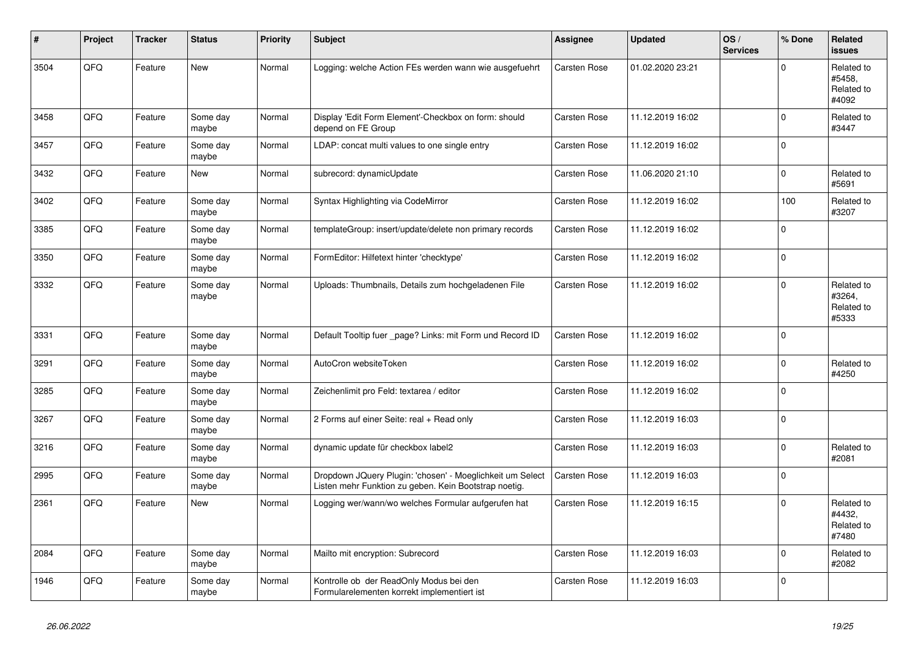| #    | Project | <b>Tracker</b> | <b>Status</b>     | <b>Priority</b> | <b>Subject</b>                                                                                                     | <b>Assignee</b>     | <b>Updated</b>   | OS/<br><b>Services</b> | % Done      | Related<br><b>issues</b>                    |
|------|---------|----------------|-------------------|-----------------|--------------------------------------------------------------------------------------------------------------------|---------------------|------------------|------------------------|-------------|---------------------------------------------|
| 3504 | QFQ     | Feature        | New               | Normal          | Logging: welche Action FEs werden wann wie ausgefuehrt                                                             | <b>Carsten Rose</b> | 01.02.2020 23:21 |                        | $\Omega$    | Related to<br>#5458,<br>Related to<br>#4092 |
| 3458 | QFQ     | Feature        | Some day<br>maybe | Normal          | Display 'Edit Form Element'-Checkbox on form: should<br>depend on FE Group                                         | Carsten Rose        | 11.12.2019 16:02 |                        | $\Omega$    | Related to<br>#3447                         |
| 3457 | QFQ     | Feature        | Some day<br>maybe | Normal          | LDAP: concat multi values to one single entry                                                                      | Carsten Rose        | 11.12.2019 16:02 |                        | $\mathbf 0$ |                                             |
| 3432 | QFQ     | Feature        | New               | Normal          | subrecord: dynamicUpdate                                                                                           | <b>Carsten Rose</b> | 11.06.2020 21:10 |                        | $\Omega$    | Related to<br>#5691                         |
| 3402 | QFQ     | Feature        | Some day<br>maybe | Normal          | Syntax Highlighting via CodeMirror                                                                                 | Carsten Rose        | 11.12.2019 16:02 |                        | 100         | Related to<br>#3207                         |
| 3385 | QFQ     | Feature        | Some day<br>maybe | Normal          | templateGroup: insert/update/delete non primary records                                                            | <b>Carsten Rose</b> | 11.12.2019 16:02 |                        | $\Omega$    |                                             |
| 3350 | QFQ     | Feature        | Some day<br>maybe | Normal          | FormEditor: Hilfetext hinter 'checktype'                                                                           | Carsten Rose        | 11.12.2019 16:02 |                        | $\Omega$    |                                             |
| 3332 | QFQ     | Feature        | Some day<br>maybe | Normal          | Uploads: Thumbnails, Details zum hochgeladenen File                                                                | Carsten Rose        | 11.12.2019 16:02 |                        | $\Omega$    | Related to<br>#3264,<br>Related to<br>#5333 |
| 3331 | QFQ     | Feature        | Some day<br>maybe | Normal          | Default Tooltip fuer _page? Links: mit Form und Record ID                                                          | Carsten Rose        | 11.12.2019 16:02 |                        | $\Omega$    |                                             |
| 3291 | QFQ     | Feature        | Some day<br>maybe | Normal          | AutoCron websiteToken                                                                                              | <b>Carsten Rose</b> | 11.12.2019 16:02 |                        | $\Omega$    | Related to<br>#4250                         |
| 3285 | QFQ     | Feature        | Some day<br>maybe | Normal          | Zeichenlimit pro Feld: textarea / editor                                                                           | <b>Carsten Rose</b> | 11.12.2019 16:02 |                        | $\Omega$    |                                             |
| 3267 | QFQ     | Feature        | Some day<br>maybe | Normal          | 2 Forms auf einer Seite: real + Read only                                                                          | Carsten Rose        | 11.12.2019 16:03 |                        | $\mathbf 0$ |                                             |
| 3216 | QFQ     | Feature        | Some day<br>maybe | Normal          | dynamic update für checkbox label2                                                                                 | Carsten Rose        | 11.12.2019 16:03 |                        | $\Omega$    | Related to<br>#2081                         |
| 2995 | QFQ     | Feature        | Some day<br>maybe | Normal          | Dropdown JQuery Plugin: 'chosen' - Moeglichkeit um Select<br>Listen mehr Funktion zu geben. Kein Bootstrap noetig. | Carsten Rose        | 11.12.2019 16:03 |                        | $\mathbf 0$ |                                             |
| 2361 | QFQ     | Feature        | New               | Normal          | Logging wer/wann/wo welches Formular aufgerufen hat                                                                | Carsten Rose        | 11.12.2019 16:15 |                        | $\Omega$    | Related to<br>#4432.<br>Related to<br>#7480 |
| 2084 | QFQ     | Feature        | Some day<br>maybe | Normal          | Mailto mit encryption: Subrecord                                                                                   | Carsten Rose        | 11.12.2019 16:03 |                        | $\Omega$    | Related to<br>#2082                         |
| 1946 | QFQ     | Feature        | Some day<br>maybe | Normal          | Kontrolle ob der ReadOnly Modus bei den<br>Formularelementen korrekt implementiert ist                             | <b>Carsten Rose</b> | 11.12.2019 16:03 |                        | $\Omega$    |                                             |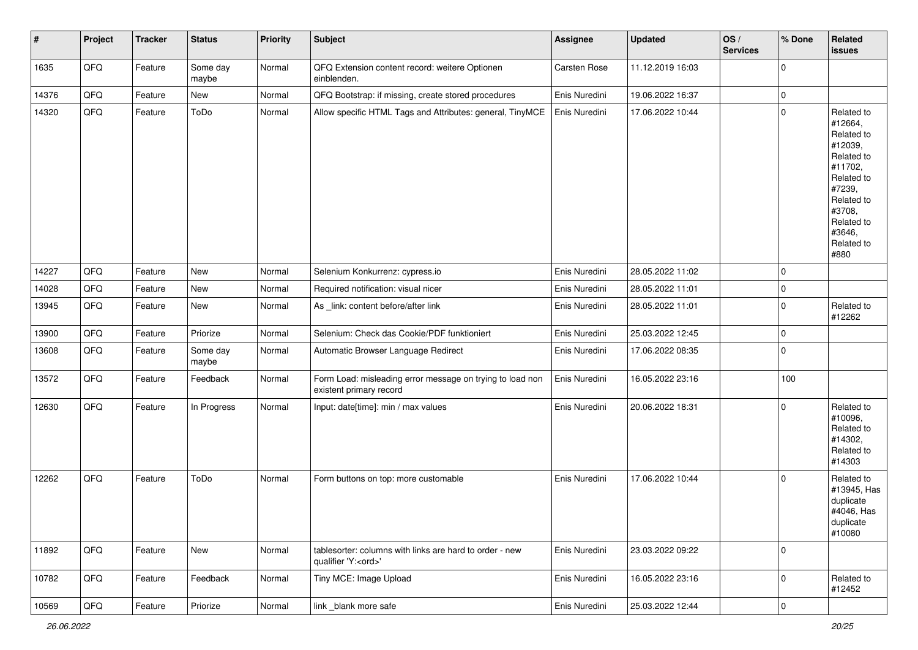| $\sharp$ | Project | <b>Tracker</b> | <b>Status</b>     | <b>Priority</b> | <b>Subject</b>                                                                        | <b>Assignee</b> | <b>Updated</b>   | OS/<br><b>Services</b> | % Done         | Related<br><b>issues</b>                                                                                                                                              |
|----------|---------|----------------|-------------------|-----------------|---------------------------------------------------------------------------------------|-----------------|------------------|------------------------|----------------|-----------------------------------------------------------------------------------------------------------------------------------------------------------------------|
| 1635     | QFQ     | Feature        | Some day<br>maybe | Normal          | QFQ Extension content record: weitere Optionen<br>einblenden.                         | Carsten Rose    | 11.12.2019 16:03 |                        | $\mathbf 0$    |                                                                                                                                                                       |
| 14376    | QFQ     | Feature        | <b>New</b>        | Normal          | QFQ Bootstrap: if missing, create stored procedures                                   | Enis Nuredini   | 19.06.2022 16:37 |                        | $\mathbf 0$    |                                                                                                                                                                       |
| 14320    | QFQ     | Feature        | ToDo              | Normal          | Allow specific HTML Tags and Attributes: general, TinyMCE                             | Enis Nuredini   | 17.06.2022 10:44 |                        | $\mathbf 0$    | Related to<br>#12664,<br>Related to<br>#12039,<br>Related to<br>#11702,<br>Related to<br>#7239,<br>Related to<br>#3708,<br>Related to<br>#3646,<br>Related to<br>#880 |
| 14227    | QFQ     | Feature        | New               | Normal          | Selenium Konkurrenz: cypress.io                                                       | Enis Nuredini   | 28.05.2022 11:02 |                        | $\mathbf 0$    |                                                                                                                                                                       |
| 14028    | QFQ     | Feature        | New               | Normal          | Required notification: visual nicer                                                   | Enis Nuredini   | 28.05.2022 11:01 |                        | $\pmb{0}$      |                                                                                                                                                                       |
| 13945    | QFQ     | Feature        | New               | Normal          | As _link: content before/after link                                                   | Enis Nuredini   | 28.05.2022 11:01 |                        | $\mathbf 0$    | Related to<br>#12262                                                                                                                                                  |
| 13900    | QFQ     | Feature        | Priorize          | Normal          | Selenium: Check das Cookie/PDF funktioniert                                           | Enis Nuredini   | 25.03.2022 12:45 |                        | $\mathbf 0$    |                                                                                                                                                                       |
| 13608    | QFQ     | Feature        | Some day<br>maybe | Normal          | Automatic Browser Language Redirect                                                   | Enis Nuredini   | 17.06.2022 08:35 |                        | $\mathbf 0$    |                                                                                                                                                                       |
| 13572    | QFQ     | Feature        | Feedback          | Normal          | Form Load: misleading error message on trying to load non<br>existent primary record  | Enis Nuredini   | 16.05.2022 23:16 |                        | 100            |                                                                                                                                                                       |
| 12630    | QFQ     | Feature        | In Progress       | Normal          | Input: date[time]: min / max values                                                   | Enis Nuredini   | 20.06.2022 18:31 |                        | $\mathbf 0$    | Related to<br>#10096,<br>Related to<br>#14302,<br>Related to<br>#14303                                                                                                |
| 12262    | QFQ     | Feature        | ToDo              | Normal          | Form buttons on top: more customable                                                  | Enis Nuredini   | 17.06.2022 10:44 |                        | $\mathbf 0$    | Related to<br>#13945, Has<br>duplicate<br>#4046, Has<br>duplicate<br>#10080                                                                                           |
| 11892    | QFQ     | Feature        | New               | Normal          | tablesorter: columns with links are hard to order - new<br>qualifier 'Y: <ord>'</ord> | Enis Nuredini   | 23.03.2022 09:22 |                        | $\mathbf 0$    |                                                                                                                                                                       |
| 10782    | QFQ     | Feature        | Feedback          | Normal          | Tiny MCE: Image Upload                                                                | Enis Nuredini   | 16.05.2022 23:16 |                        | $\mathbf 0$    | Related to<br>#12452                                                                                                                                                  |
| 10569    | QFQ     | Feature        | Priorize          | Normal          | link _blank more safe                                                                 | Enis Nuredini   | 25.03.2022 12:44 |                        | $\overline{0}$ |                                                                                                                                                                       |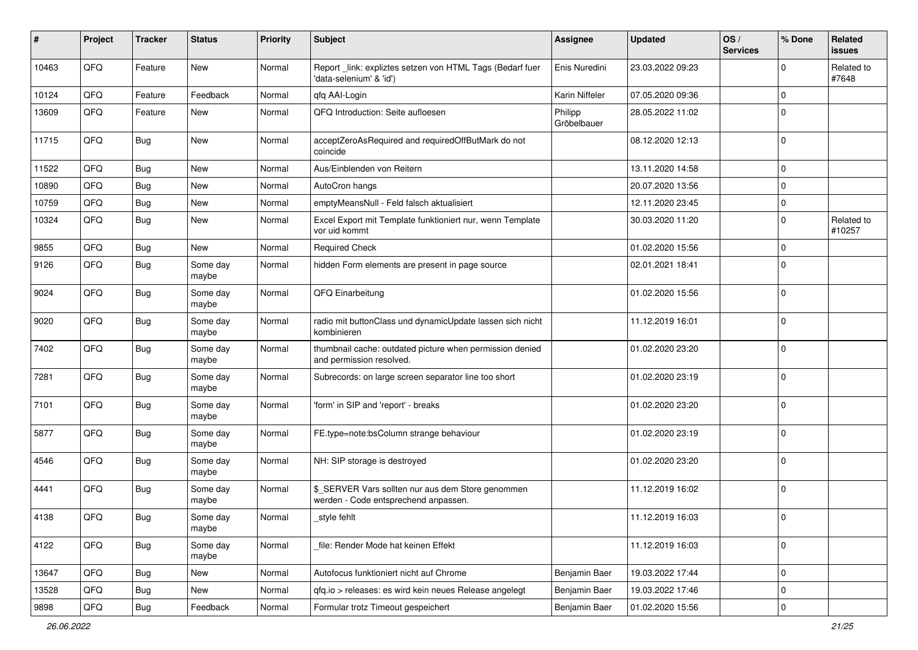| #     | Project | <b>Tracker</b> | <b>Status</b>     | <b>Priority</b> | <b>Subject</b>                                                                            | <b>Assignee</b>        | <b>Updated</b>   | OS/<br><b>Services</b> | % Done      | Related<br><b>issues</b> |
|-------|---------|----------------|-------------------|-----------------|-------------------------------------------------------------------------------------------|------------------------|------------------|------------------------|-------------|--------------------------|
| 10463 | QFQ     | Feature        | <b>New</b>        | Normal          | Report _link: expliztes setzen von HTML Tags (Bedarf fuer<br>'data-selenium' & 'id')      | Enis Nuredini          | 23.03.2022 09:23 |                        | $\Omega$    | Related to<br>#7648      |
| 10124 | QFQ     | Feature        | Feedback          | Normal          | qfq AAI-Login                                                                             | Karin Niffeler         | 07.05.2020 09:36 |                        | $\mathbf 0$ |                          |
| 13609 | QFQ     | Feature        | New               | Normal          | QFQ Introduction: Seite aufloesen                                                         | Philipp<br>Gröbelbauer | 28.05.2022 11:02 |                        | $\mathbf 0$ |                          |
| 11715 | QFQ     | <b>Bug</b>     | New               | Normal          | acceptZeroAsRequired and requiredOffButMark do not<br>coincide                            |                        | 08.12.2020 12:13 |                        | $\mathbf 0$ |                          |
| 11522 | QFQ     | Bug            | New               | Normal          | Aus/Einblenden von Reitern                                                                |                        | 13.11.2020 14:58 |                        | $\mathbf 0$ |                          |
| 10890 | QFQ     | Bug            | <b>New</b>        | Normal          | AutoCron hangs                                                                            |                        | 20.07.2020 13:56 |                        | $\mathbf 0$ |                          |
| 10759 | QFQ     | Bug            | New               | Normal          | emptyMeansNull - Feld falsch aktualisiert                                                 |                        | 12.11.2020 23:45 |                        | $\mathbf 0$ |                          |
| 10324 | QFQ     | <b>Bug</b>     | New               | Normal          | Excel Export mit Template funktioniert nur, wenn Template<br>vor uid kommt                |                        | 30.03.2020 11:20 |                        | $\mathbf 0$ | Related to<br>#10257     |
| 9855  | QFQ     | Bug            | <b>New</b>        | Normal          | <b>Required Check</b>                                                                     |                        | 01.02.2020 15:56 |                        | $\mathbf 0$ |                          |
| 9126  | QFQ     | Bug            | Some day<br>maybe | Normal          | hidden Form elements are present in page source                                           |                        | 02.01.2021 18:41 |                        | $\mathbf 0$ |                          |
| 9024  | QFQ     | Bug            | Some day<br>maybe | Normal          | QFQ Einarbeitung                                                                          |                        | 01.02.2020 15:56 |                        | $\mathbf 0$ |                          |
| 9020  | QFQ     | Bug            | Some day<br>maybe | Normal          | radio mit buttonClass und dynamicUpdate lassen sich nicht<br>kombinieren                  |                        | 11.12.2019 16:01 |                        | $\mathbf 0$ |                          |
| 7402  | QFQ     | <b>Bug</b>     | Some day<br>maybe | Normal          | thumbnail cache: outdated picture when permission denied<br>and permission resolved.      |                        | 01.02.2020 23:20 |                        | $\mathbf 0$ |                          |
| 7281  | QFQ     | Bug            | Some day<br>maybe | Normal          | Subrecords: on large screen separator line too short                                      |                        | 01.02.2020 23:19 |                        | $\mathbf 0$ |                          |
| 7101  | QFQ     | Bug            | Some day<br>maybe | Normal          | 'form' in SIP and 'report' - breaks                                                       |                        | 01.02.2020 23:20 |                        | $\mathbf 0$ |                          |
| 5877  | QFQ     | Bug            | Some day<br>maybe | Normal          | FE.type=note:bsColumn strange behaviour                                                   |                        | 01.02.2020 23:19 |                        | $\mathbf 0$ |                          |
| 4546  | QFQ     | Bug            | Some day<br>maybe | Normal          | NH: SIP storage is destroyed                                                              |                        | 01.02.2020 23:20 |                        | $\mathbf 0$ |                          |
| 4441  | QFQ     | Bug            | Some day<br>maybe | Normal          | \$ SERVER Vars sollten nur aus dem Store genommen<br>werden - Code entsprechend anpassen. |                        | 11.12.2019 16:02 |                        | $\mathbf 0$ |                          |
| 4138  | QFQ     | Bug            | Some day<br>maybe | Normal          | _style fehlt                                                                              |                        | 11.12.2019 16:03 |                        | 0           |                          |
| 4122  | QFQ     | <b>Bug</b>     | Some day<br>maybe | Normal          | file: Render Mode hat keinen Effekt                                                       |                        | 11.12.2019 16:03 |                        | $\mathbf 0$ |                          |
| 13647 | QFQ     | Bug            | New               | Normal          | Autofocus funktioniert nicht auf Chrome                                                   | Benjamin Baer          | 19.03.2022 17:44 |                        | $\mathbf 0$ |                          |
| 13528 | QFQ     | <b>Bug</b>     | New               | Normal          | qfq.io > releases: es wird kein neues Release angelegt                                    | Benjamin Baer          | 19.03.2022 17:46 |                        | $\mathbf 0$ |                          |
| 9898  | QFQ     | Bug            | Feedback          | Normal          | Formular trotz Timeout gespeichert                                                        | Benjamin Baer          | 01.02.2020 15:56 |                        | 0           |                          |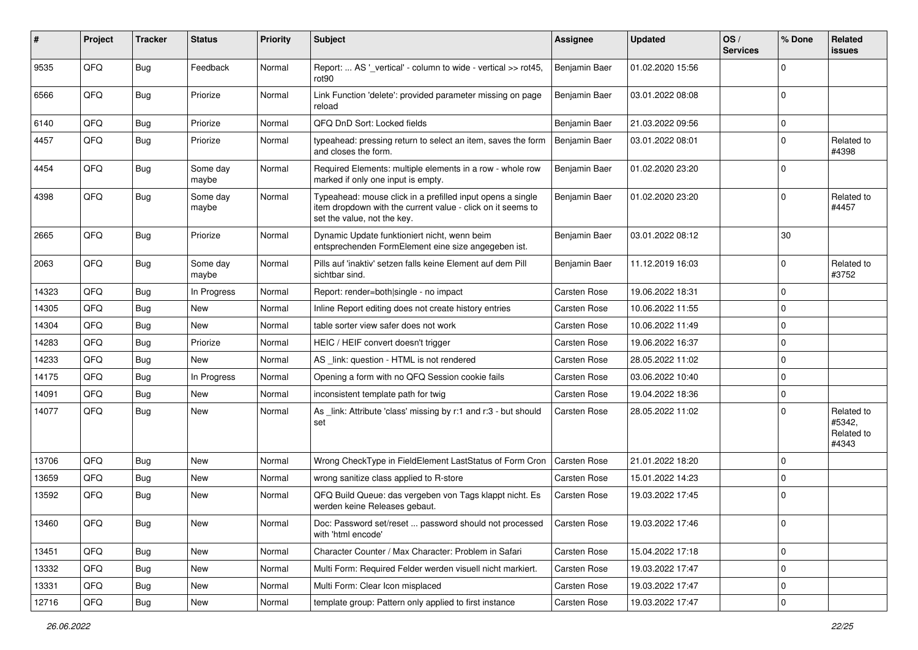| ∦     | Project | <b>Tracker</b> | <b>Status</b>     | <b>Priority</b> | <b>Subject</b>                                                                                                                                           | <b>Assignee</b>     | <b>Updated</b>   | OS/<br><b>Services</b> | % Done      | Related<br><b>issues</b>                    |
|-------|---------|----------------|-------------------|-----------------|----------------------------------------------------------------------------------------------------------------------------------------------------------|---------------------|------------------|------------------------|-------------|---------------------------------------------|
| 9535  | QFQ     | Bug            | Feedback          | Normal          | Report:  AS '_vertical' - column to wide - vertical >> rot45,<br>rot90                                                                                   | Benjamin Baer       | 01.02.2020 15:56 |                        | $\mathbf 0$ |                                             |
| 6566  | QFQ     | Bug            | Priorize          | Normal          | Link Function 'delete': provided parameter missing on page<br>reload                                                                                     | Benjamin Baer       | 03.01.2022 08:08 |                        | $\mathbf 0$ |                                             |
| 6140  | QFQ     | Bug            | Priorize          | Normal          | QFQ DnD Sort: Locked fields                                                                                                                              | Benjamin Baer       | 21.03.2022 09:56 |                        | $\mathbf 0$ |                                             |
| 4457  | QFQ     | Bug            | Priorize          | Normal          | typeahead: pressing return to select an item, saves the form<br>and closes the form.                                                                     | Benjamin Baer       | 03.01.2022 08:01 |                        | $\mathbf 0$ | Related to<br>#4398                         |
| 4454  | QFQ     | <b>Bug</b>     | Some day<br>maybe | Normal          | Required Elements: multiple elements in a row - whole row<br>marked if only one input is empty.                                                          | Benjamin Baer       | 01.02.2020 23:20 |                        | $\Omega$    |                                             |
| 4398  | QFQ     | <b>Bug</b>     | Some day<br>maybe | Normal          | Typeahead: mouse click in a prefilled input opens a single<br>item dropdown with the current value - click on it seems to<br>set the value, not the key. | Benjamin Baer       | 01.02.2020 23:20 |                        | $\mathbf 0$ | Related to<br>#4457                         |
| 2665  | QFQ     | <b>Bug</b>     | Priorize          | Normal          | Dynamic Update funktioniert nicht, wenn beim<br>entsprechenden FormElement eine size angegeben ist.                                                      | Benjamin Baer       | 03.01.2022 08:12 |                        | 30          |                                             |
| 2063  | QFQ     | <b>Bug</b>     | Some day<br>maybe | Normal          | Pills auf 'inaktiv' setzen falls keine Element auf dem Pill<br>sichtbar sind.                                                                            | Benjamin Baer       | 11.12.2019 16:03 |                        | $\mathbf 0$ | Related to<br>#3752                         |
| 14323 | QFQ     | Bug            | In Progress       | Normal          | Report: render=both single - no impact                                                                                                                   | Carsten Rose        | 19.06.2022 18:31 |                        | $\mathbf 0$ |                                             |
| 14305 | QFQ     | <b>Bug</b>     | <b>New</b>        | Normal          | Inline Report editing does not create history entries                                                                                                    | Carsten Rose        | 10.06.2022 11:55 |                        | $\mathbf 0$ |                                             |
| 14304 | QFQ     | Bug            | <b>New</b>        | Normal          | table sorter view safer does not work                                                                                                                    | Carsten Rose        | 10.06.2022 11:49 |                        | $\mathbf 0$ |                                             |
| 14283 | QFQ     | Bug            | Priorize          | Normal          | HEIC / HEIF convert doesn't trigger                                                                                                                      | Carsten Rose        | 19.06.2022 16:37 |                        | $\mathbf 0$ |                                             |
| 14233 | QFQ     | Bug            | New               | Normal          | AS _link: question - HTML is not rendered                                                                                                                | Carsten Rose        | 28.05.2022 11:02 |                        | $\mathbf 0$ |                                             |
| 14175 | QFQ     | <b>Bug</b>     | In Progress       | Normal          | Opening a form with no QFQ Session cookie fails                                                                                                          | Carsten Rose        | 03.06.2022 10:40 |                        | $\mathbf 0$ |                                             |
| 14091 | QFQ     | <b>Bug</b>     | New               | Normal          | inconsistent template path for twig                                                                                                                      | <b>Carsten Rose</b> | 19.04.2022 18:36 |                        | $\mathbf 0$ |                                             |
| 14077 | QFQ     | Bug            | New               | Normal          | As _link: Attribute 'class' missing by r:1 and r:3 - but should<br>set                                                                                   | Carsten Rose        | 28.05.2022 11:02 |                        | $\Omega$    | Related to<br>#5342,<br>Related to<br>#4343 |
| 13706 | QFQ     | Bug            | <b>New</b>        | Normal          | Wrong CheckType in FieldElement LastStatus of Form Cron                                                                                                  | <b>Carsten Rose</b> | 21.01.2022 18:20 |                        | $\mathbf 0$ |                                             |
| 13659 | QFQ     | <b>Bug</b>     | New               | Normal          | wrong sanitize class applied to R-store                                                                                                                  | Carsten Rose        | 15.01.2022 14:23 |                        | $\mathbf 0$ |                                             |
| 13592 | QFQ     | Bug            | New               | Normal          | QFQ Build Queue: das vergeben von Tags klappt nicht. Es<br>werden keine Releases gebaut.                                                                 | Carsten Rose        | 19.03.2022 17:45 |                        | $\mathbf 0$ |                                             |
| 13460 | QFQ     | <b>Bug</b>     | New               | Normal          | Doc: Password set/reset  password should not processed<br>with 'html encode'                                                                             | <b>Carsten Rose</b> | 19.03.2022 17:46 |                        | 0           |                                             |
| 13451 | QFQ     | <b>Bug</b>     | <b>New</b>        | Normal          | Character Counter / Max Character: Problem in Safari                                                                                                     | Carsten Rose        | 15.04.2022 17:18 |                        | $\mathbf 0$ |                                             |
| 13332 | QFQ     | <b>Bug</b>     | New               | Normal          | Multi Form: Required Felder werden visuell nicht markiert.                                                                                               | Carsten Rose        | 19.03.2022 17:47 |                        | $\mathbf 0$ |                                             |
| 13331 | QFQ     | Bug            | New               | Normal          | Multi Form: Clear Icon misplaced                                                                                                                         | Carsten Rose        | 19.03.2022 17:47 |                        | $\mathbf 0$ |                                             |
| 12716 | QFQ     | <b>Bug</b>     | New               | Normal          | template group: Pattern only applied to first instance                                                                                                   | Carsten Rose        | 19.03.2022 17:47 |                        | $\mathbf 0$ |                                             |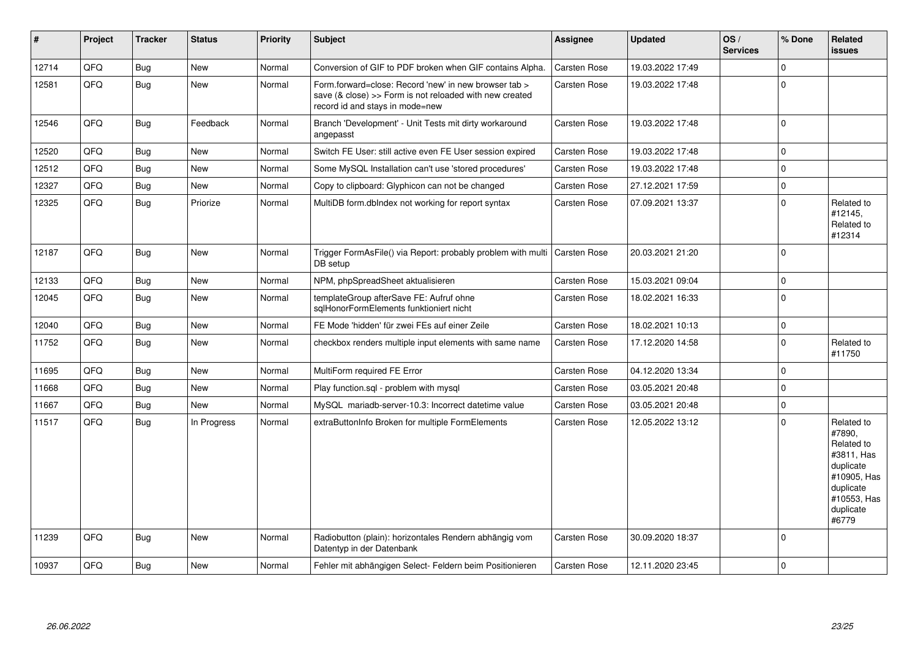| $\sharp$ | Project | <b>Tracker</b> | <b>Status</b> | <b>Priority</b> | <b>Subject</b>                                                                                                                                      | <b>Assignee</b> | <b>Updated</b>   | OS/<br><b>Services</b> | % Done      | <b>Related</b><br><b>issues</b>                                                                                                |
|----------|---------|----------------|---------------|-----------------|-----------------------------------------------------------------------------------------------------------------------------------------------------|-----------------|------------------|------------------------|-------------|--------------------------------------------------------------------------------------------------------------------------------|
| 12714    | QFQ     | <b>Bug</b>     | <b>New</b>    | Normal          | Conversion of GIF to PDF broken when GIF contains Alpha.                                                                                            | Carsten Rose    | 19.03.2022 17:49 |                        | $\mathbf 0$ |                                                                                                                                |
| 12581    | QFQ     | Bug            | <b>New</b>    | Normal          | Form.forward=close: Record 'new' in new browser tab ><br>save (& close) >> Form is not reloaded with new created<br>record id and stays in mode=new | Carsten Rose    | 19.03.2022 17:48 |                        | $\mathbf 0$ |                                                                                                                                |
| 12546    | QFQ     | Bug            | Feedback      | Normal          | Branch 'Development' - Unit Tests mit dirty workaround<br>angepasst                                                                                 | Carsten Rose    | 19.03.2022 17:48 |                        | $\mathbf 0$ |                                                                                                                                |
| 12520    | QFQ     | <b>Bug</b>     | <b>New</b>    | Normal          | Switch FE User: still active even FE User session expired                                                                                           | Carsten Rose    | 19.03.2022 17:48 |                        | $\mathbf 0$ |                                                                                                                                |
| 12512    | QFQ     | <b>Bug</b>     | <b>New</b>    | Normal          | Some MySQL Installation can't use 'stored procedures'                                                                                               | Carsten Rose    | 19.03.2022 17:48 |                        | $\mathbf 0$ |                                                                                                                                |
| 12327    | QFQ     | <b>Bug</b>     | New           | Normal          | Copy to clipboard: Glyphicon can not be changed                                                                                                     | Carsten Rose    | 27.12.2021 17:59 |                        | $\mathbf 0$ |                                                                                                                                |
| 12325    | QFQ     | <b>Bug</b>     | Priorize      | Normal          | MultiDB form.dblndex not working for report syntax                                                                                                  | Carsten Rose    | 07.09.2021 13:37 |                        | $\Omega$    | Related to<br>#12145,<br>Related to<br>#12314                                                                                  |
| 12187    | QFQ     | <b>Bug</b>     | <b>New</b>    | Normal          | Trigger FormAsFile() via Report: probably problem with multi   Carsten Rose<br>DB setup                                                             |                 | 20.03.2021 21:20 |                        | $\mathbf 0$ |                                                                                                                                |
| 12133    | QFQ     | <b>Bug</b>     | <b>New</b>    | Normal          | NPM, phpSpreadSheet aktualisieren                                                                                                                   | Carsten Rose    | 15.03.2021 09:04 |                        | $\mathbf 0$ |                                                                                                                                |
| 12045    | QFQ     | <b>Bug</b>     | <b>New</b>    | Normal          | templateGroup afterSave FE: Aufruf ohne<br>sglHonorFormElements funktioniert nicht                                                                  | Carsten Rose    | 18.02.2021 16:33 |                        | $\mathbf 0$ |                                                                                                                                |
| 12040    | QFQ     | <b>Bug</b>     | <b>New</b>    | Normal          | FE Mode 'hidden' für zwei FEs auf einer Zeile                                                                                                       | Carsten Rose    | 18.02.2021 10:13 |                        | $\mathbf 0$ |                                                                                                                                |
| 11752    | QFQ     | <b>Bug</b>     | New           | Normal          | checkbox renders multiple input elements with same name                                                                                             | Carsten Rose    | 17.12.2020 14:58 |                        | $\mathbf 0$ | Related to<br>#11750                                                                                                           |
| 11695    | QFQ     | <b>Bug</b>     | <b>New</b>    | Normal          | MultiForm required FE Error                                                                                                                         | Carsten Rose    | 04.12.2020 13:34 |                        | $\mathbf 0$ |                                                                                                                                |
| 11668    | QFQ     | <b>Bug</b>     | New           | Normal          | Play function.sql - problem with mysql                                                                                                              | Carsten Rose    | 03.05.2021 20:48 |                        | $\mathbf 0$ |                                                                                                                                |
| 11667    | QFQ     | <b>Bug</b>     | <b>New</b>    | Normal          | MySQL mariadb-server-10.3: Incorrect datetime value                                                                                                 | Carsten Rose    | 03.05.2021 20:48 |                        | $\mathbf 0$ |                                                                                                                                |
| 11517    | QFQ     | <b>Bug</b>     | In Progress   | Normal          | extraButtonInfo Broken for multiple FormElements                                                                                                    | Carsten Rose    | 12.05.2022 13:12 |                        | $\mathbf 0$ | Related to<br>#7890,<br>Related to<br>#3811. Has<br>duplicate<br>#10905, Has<br>duplicate<br>#10553, Has<br>duplicate<br>#6779 |
| 11239    | QFQ     | <b>Bug</b>     | New           | Normal          | Radiobutton (plain): horizontales Rendern abhängig vom<br>Datentyp in der Datenbank                                                                 | Carsten Rose    | 30.09.2020 18:37 |                        | $\mathbf 0$ |                                                                                                                                |
| 10937    | QFQ     | Bug            | <b>New</b>    | Normal          | Fehler mit abhängigen Select- Feldern beim Positionieren                                                                                            | Carsten Rose    | 12.11.2020 23:45 |                        | $\mathbf 0$ |                                                                                                                                |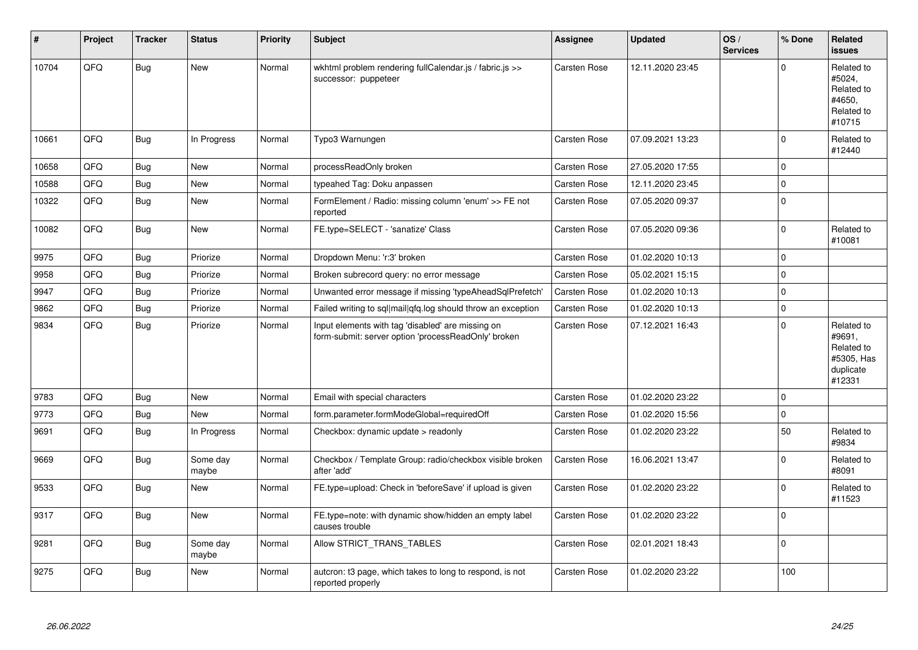| #     | Project | <b>Tracker</b> | <b>Status</b>     | <b>Priority</b> | <b>Subject</b>                                                                                           | <b>Assignee</b> | <b>Updated</b>   | OS/<br><b>Services</b> | % Done       | Related<br><b>issues</b>                                                |
|-------|---------|----------------|-------------------|-----------------|----------------------------------------------------------------------------------------------------------|-----------------|------------------|------------------------|--------------|-------------------------------------------------------------------------|
| 10704 | QFQ     | <b>Bug</b>     | <b>New</b>        | Normal          | wkhtml problem rendering fullCalendar.js / fabric.js >><br>successor: puppeteer                          | Carsten Rose    | 12.11.2020 23:45 |                        | $\Omega$     | Related to<br>#5024,<br>Related to<br>#4650,<br>Related to<br>#10715    |
| 10661 | QFQ     | Bug            | In Progress       | Normal          | Typo3 Warnungen                                                                                          | Carsten Rose    | 07.09.2021 13:23 |                        | $\mathbf 0$  | Related to<br>#12440                                                    |
| 10658 | QFQ     | <b>Bug</b>     | <b>New</b>        | Normal          | processReadOnly broken                                                                                   | Carsten Rose    | 27.05.2020 17:55 |                        | $\mathbf 0$  |                                                                         |
| 10588 | QFQ     | <b>Bug</b>     | <b>New</b>        | Normal          | typeahed Tag: Doku anpassen                                                                              | Carsten Rose    | 12.11.2020 23:45 |                        | $\mathbf 0$  |                                                                         |
| 10322 | QFQ     | Bug            | New               | Normal          | FormElement / Radio: missing column 'enum' >> FE not<br>reported                                         | Carsten Rose    | 07.05.2020 09:37 |                        | $\mathbf 0$  |                                                                         |
| 10082 | QFQ     | <b>Bug</b>     | New               | Normal          | FE.type=SELECT - 'sanatize' Class                                                                        | Carsten Rose    | 07.05.2020 09:36 |                        | $\pmb{0}$    | Related to<br>#10081                                                    |
| 9975  | QFQ     | Bug            | Priorize          | Normal          | Dropdown Menu: 'r:3' broken                                                                              | Carsten Rose    | 01.02.2020 10:13 |                        | $\mathbf 0$  |                                                                         |
| 9958  | QFQ     | <b>Bug</b>     | Priorize          | Normal          | Broken subrecord query: no error message                                                                 | Carsten Rose    | 05.02.2021 15:15 |                        | $\pmb{0}$    |                                                                         |
| 9947  | QFQ     | <b>Bug</b>     | Priorize          | Normal          | Unwanted error message if missing 'typeAheadSqlPrefetch'                                                 | Carsten Rose    | 01.02.2020 10:13 |                        | $\mathbf 0$  |                                                                         |
| 9862  | QFQ     | <b>Bug</b>     | Priorize          | Normal          | Failed writing to sql mail qfq.log should throw an exception                                             | Carsten Rose    | 01.02.2020 10:13 |                        | $\pmb{0}$    |                                                                         |
| 9834  | QFQ     | Bug            | Priorize          | Normal          | Input elements with tag 'disabled' are missing on<br>form-submit: server option 'processReadOnly' broken | Carsten Rose    | 07.12.2021 16:43 |                        | $\mathbf 0$  | Related to<br>#9691,<br>Related to<br>#5305, Has<br>duplicate<br>#12331 |
| 9783  | QFQ     | <b>Bug</b>     | <b>New</b>        | Normal          | Email with special characters                                                                            | Carsten Rose    | 01.02.2020 23:22 |                        | $\mathbf 0$  |                                                                         |
| 9773  | QFQ     | Bug            | New               | Normal          | form.parameter.formModeGlobal=requiredOff                                                                | Carsten Rose    | 01.02.2020 15:56 |                        | $\mathbf 0$  |                                                                         |
| 9691  | QFQ     | <b>Bug</b>     | In Progress       | Normal          | Checkbox: dynamic update > readonly                                                                      | Carsten Rose    | 01.02.2020 23:22 |                        | 50           | Related to<br>#9834                                                     |
| 9669  | QFQ     | <b>Bug</b>     | Some day<br>maybe | Normal          | Checkbox / Template Group: radio/checkbox visible broken<br>after 'add'                                  | Carsten Rose    | 16.06.2021 13:47 |                        | $\mathbf{0}$ | Related to<br>#8091                                                     |
| 9533  | QFQ     | <b>Bug</b>     | <b>New</b>        | Normal          | FE.type=upload: Check in 'beforeSave' if upload is given                                                 | Carsten Rose    | 01.02.2020 23:22 |                        | $\mathbf 0$  | Related to<br>#11523                                                    |
| 9317  | QFQ     | Bug            | New               | Normal          | FE.type=note: with dynamic show/hidden an empty label<br>causes trouble                                  | Carsten Rose    | 01.02.2020 23:22 |                        | $\mathbf 0$  |                                                                         |
| 9281  | QFQ     | <b>Bug</b>     | Some day<br>maybe | Normal          | Allow STRICT TRANS TABLES                                                                                | Carsten Rose    | 02.01.2021 18:43 |                        | $\mathbf 0$  |                                                                         |
| 9275  | QFQ     | <b>Bug</b>     | New               | Normal          | autcron: t3 page, which takes to long to respond, is not<br>reported properly                            | Carsten Rose    | 01.02.2020 23:22 |                        | 100          |                                                                         |